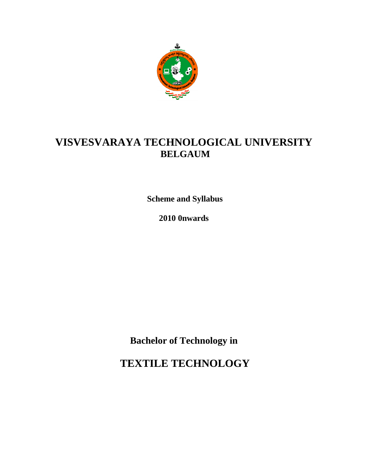

**Scheme and Syllabus**

**2010 0nwards**

**Bachelor of Technology in**

**TEXTILE TECHNOLOGY**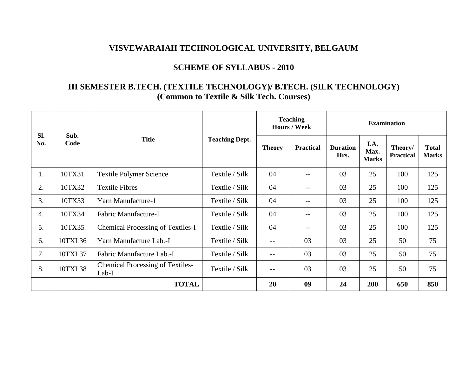## **SCHEME OF SYLLABUS - 2010**

# **III SEMESTER B.TECH. (TEXTILE TECHNOLOGY)/ B.TECH. (SILK TECHNOLOGY) (Common to Textile & Silk Tech. Courses)**

|                  |              |                                                  |                       | <b>Teaching</b><br><b>Hours / Week</b> |                          | <b>Examination</b>      |                              |                             |                              |  |
|------------------|--------------|--------------------------------------------------|-----------------------|----------------------------------------|--------------------------|-------------------------|------------------------------|-----------------------------|------------------------------|--|
| Sl.<br>No.       | Sub.<br>Code | <b>Title</b>                                     | <b>Teaching Dept.</b> | <b>Theory</b>                          | <b>Practical</b>         | <b>Duration</b><br>Hrs. | I.A.<br>Max.<br><b>Marks</b> | Theory/<br><b>Practical</b> | <b>Total</b><br><b>Marks</b> |  |
| 1.               | 10TX31       | <b>Textile Polymer Science</b>                   | Textile / Silk        | 04                                     | $\overline{\phantom{m}}$ | 03                      | 25                           | 100                         | 125                          |  |
| 2.               | 10TX32       | <b>Textile Fibres</b>                            | Textile / Silk        | 04                                     | $-$                      | 03                      | 25                           | 100                         | 125                          |  |
| 3.               | 10TX33       | Yarn Manufacture-1                               | Textile / Silk        | 04                                     | $-$                      | 03                      | 25                           | 100                         | 125                          |  |
| $\overline{4}$ . | 10TX34       | Fabric Manufacture-I                             | Textile / Silk        | 04                                     | $-$                      | 03                      | 25                           | 100                         | 125                          |  |
| 5.               | 10TX35       | <b>Chemical Processing of Textiles-I</b>         | Textile / Silk        | 04                                     | $-$                      | 03                      | 25                           | 100                         | 125                          |  |
| 6.               | 10TXL36      | Yarn Manufacture Lab.-I                          | Textile / Silk        | $-$                                    | 03                       | 03                      | 25                           | 50                          | 75                           |  |
| 7.               | 10TXL37      | Fabric Manufacture Lab.-I                        | Textile / Silk        | $\qquad \qquad -$                      | 03                       | 03                      | 25                           | 50                          | 75                           |  |
| 8.               | 10TXL38      | <b>Chemical Processing of Textiles-</b><br>Lab-I | Textile / Silk        | $- -$                                  | 03                       | 03                      | 25                           | 50                          | 75                           |  |
|                  |              | <b>TOTAL</b>                                     |                       | 20                                     | 09                       | 24                      | 200                          | 650                         | 850                          |  |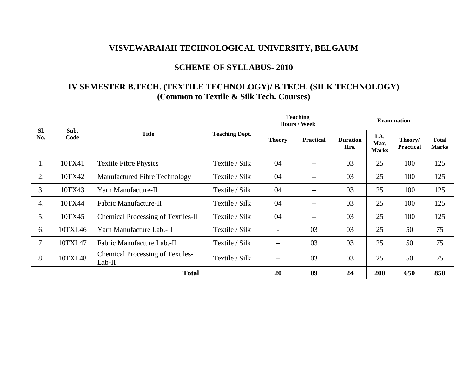## **SCHEME OF SYLLABUS- 2010**

# **IV SEMESTER B.TECH. (TEXTILE TECHNOLOGY)/ B.TECH. (SILK TECHNOLOGY) (Common to Textile & Silk Tech. Courses)**

|            |              |                                                     | <b>Teaching</b><br><b>Examination</b><br>Hours / Week |                          |                  |                         |                              |                             |                              |
|------------|--------------|-----------------------------------------------------|-------------------------------------------------------|--------------------------|------------------|-------------------------|------------------------------|-----------------------------|------------------------------|
| SI.<br>No. | Sub.<br>Code | <b>Title</b>                                        | <b>Teaching Dept.</b>                                 | <b>Theory</b>            | <b>Practical</b> | <b>Duration</b><br>Hrs. | I.A.<br>Max.<br><b>Marks</b> | Theory/<br><b>Practical</b> | <b>Total</b><br><b>Marks</b> |
| 1.         | 10TX41       | <b>Textile Fibre Physics</b>                        | Textile / Silk                                        | 04                       | $- -$            | 03                      | 25                           | 100                         | 125                          |
| 2.         | 10TX42       | Manufactured Fibre Technology                       | Textile / Silk                                        | 04                       | $--$             | 03                      | 25                           | 100                         | 125                          |
| 3.         | 10TX43       | Yarn Manufacture-II                                 | Textile / Silk                                        | 04                       |                  | 03                      | 25                           | 100                         | 125                          |
| 4.         | 10TX44       | Fabric Manufacture-II                               | Textile / Silk                                        | 04                       |                  | 03                      | 25                           | 100                         | 125                          |
| 5.         | 10TX45       | Chemical Processing of Textiles-II                  | Textile / Silk                                        | 04                       | $- -$            | 03                      | 25                           | 100                         | 125                          |
| 6.         | 10TXL46      | Yarn Manufacture Lab.-II                            | Textile / Silk                                        | $\overline{\phantom{a}}$ | 03               | 03                      | 25                           | 50                          | 75                           |
| 7.         | 10TXL47      | Fabric Manufacture Lab.-II                          | Textile / Silk                                        | $-$                      | 03               | 03                      | 25                           | 50                          | 75                           |
| 8.         | 10TXL48      | <b>Chemical Processing of Textiles-</b><br>$Lab-II$ | Textile / Silk                                        | $-$                      | 03               | 03                      | 25                           | 50                          | 75                           |
|            |              | <b>Total</b>                                        |                                                       | 20                       | 09               | 24                      | 200                          | 650                         | 850                          |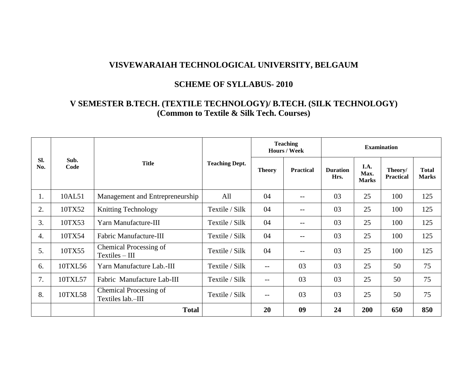## **SCHEME OF SYLLABUS- 2010**

# **V SEMESTER B.TECH. (TEXTILE TECHNOLOGY)/ B.TECH. (SILK TECHNOLOGY) (Common to Textile & Silk Tech. Courses)**

|            |              |                                             |                       | <b>Teaching</b><br>Hours / Week |                  | <b>Examination</b>      |                              |                             |                              |  |
|------------|--------------|---------------------------------------------|-----------------------|---------------------------------|------------------|-------------------------|------------------------------|-----------------------------|------------------------------|--|
| Sl.<br>No. | Sub.<br>Code | <b>Title</b>                                | <b>Teaching Dept.</b> | <b>Theory</b>                   | <b>Practical</b> | <b>Duration</b><br>Hrs. | I.A.<br>Max.<br><b>Marks</b> | Theory/<br><b>Practical</b> | <b>Total</b><br><b>Marks</b> |  |
| 1.         | 10AL51       | Management and Entrepreneurship             | All                   | 04                              | --               | 03                      | 25                           | 100                         | 125                          |  |
| 2.         | 10TX52       | <b>Knitting Technology</b>                  | Textile / Silk        | 04                              | $-$              | 03                      | 25                           | 100                         | 125                          |  |
| 3.         | 10TX53       | Yarn Manufacture-III                        | Textile / Silk        | 04                              | $-$              | 03                      | 25                           | 100                         | 125                          |  |
| 4.         | 10TX54       | Fabric Manufacture-III                      | Textile / Silk        | 04                              | $- -$            | 03                      | 25                           | 100                         | 125                          |  |
| 5.         | 10TX55       | Chemical Processing of<br>$Textiles - III$  | Textile / Silk        | 04                              | --               | 03                      | 25                           | 100                         | 125                          |  |
| 6.         | 10TXL56      | Yarn Manufacture Lab.-III                   | Textile / Silk        | $\overline{\phantom{m}}$        | 03               | 03                      | 25                           | 50                          | 75                           |  |
| 7.         | 10TXL57      | Fabric Manufacture Lab-III                  | Textile / Silk        | $--$                            | 03               | 03                      | 25                           | 50                          | 75                           |  |
| 8.         | 10TXL58      | Chemical Processing of<br>Textiles lab.-III | Textile / Silk        | $--$                            | 03               | 03                      | 25                           | 50                          | 75                           |  |
|            |              | <b>Total</b>                                |                       | 20                              | 09               | 24                      | 200                          | 650                         | 850                          |  |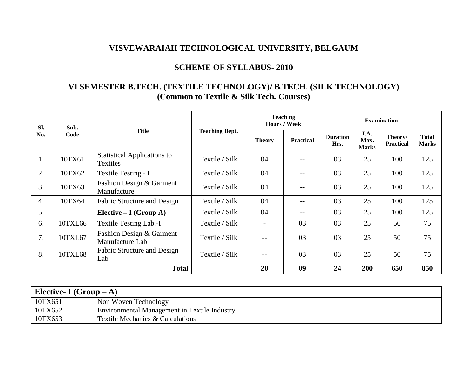## **SCHEME OF SYLLABUS- 2010**

# **VI SEMESTER B.TECH. (TEXTILE TECHNOLOGY)/ B.TECH. (SILK TECHNOLOGY) (Common to Textile & Silk Tech. Courses)**

| SI. | Sub.<br>Code | <b>Title</b>                                          | <b>Teaching Dept.</b> |                          | <b>Teaching</b><br><b>Hours / Week</b> | <b>Examination</b>      |                              |                             |                              |
|-----|--------------|-------------------------------------------------------|-----------------------|--------------------------|----------------------------------------|-------------------------|------------------------------|-----------------------------|------------------------------|
| No. |              |                                                       |                       | <b>Theory</b>            | <b>Practical</b>                       | <b>Duration</b><br>Hrs. | I.A.<br>Max.<br><b>Marks</b> | Theory/<br><b>Practical</b> | <b>Total</b><br><b>Marks</b> |
| 1.  | 10TX61       | <b>Statistical Applications to</b><br><b>Textiles</b> | Textile / Silk        | 04                       | $- -$                                  | 03                      | 25                           | 100                         | 125                          |
| 2.  | 10TX62       | Textile Testing - I                                   | Textile / Silk        | 04                       | $- -$                                  | 03                      | 25                           | 100                         | 125                          |
| 3.  | 10TX63       | Fashion Design & Garment<br>Manufacture               | Textile / Silk        | 04                       | $- -$                                  | 03                      | 25                           | 100                         | 125                          |
| 4.  | 10TX64       | Fabric Structure and Design                           | Textile / Silk        | 04                       | $\qquad \qquad -$                      | 03                      | 25                           | 100                         | 125                          |
| 5.  |              | Elective $-I(Group A)$                                | Textile / Silk        | 04                       | $\qquad \qquad -$                      | 03                      | 25                           | 100                         | 125                          |
| 6.  | 10TXL66      | <b>Textile Testing Lab.-I</b>                         | Textile / Silk        | $\overline{\phantom{0}}$ | 03                                     | 03                      | 25                           | 50                          | 75                           |
| 7.  | 10TXL67      | Fashion Design & Garment<br>Manufacture Lab           | Textile / Silk        | $-$                      | 03                                     | 03                      | 25                           | 50                          | 75                           |
| 8.  | 10TXL68      | Fabric Structure and Design<br>Lab                    | Textile / Silk        | $\qquad \qquad -$        | 03                                     | 03                      | 25                           | 50                          | 75                           |
|     |              | <b>Total</b>                                          |                       | 20                       | 09                                     | 24                      | 200                          | 650                         | 850                          |

| Elective- I $(Group - A)$ |                                                     |  |  |  |  |
|---------------------------|-----------------------------------------------------|--|--|--|--|
| 10TX651                   | Non Woven Technology                                |  |  |  |  |
| 10TX652                   | <b>Environmental Management in Textile Industry</b> |  |  |  |  |
| 10TX653                   | Textile Mechanics & Calculations                    |  |  |  |  |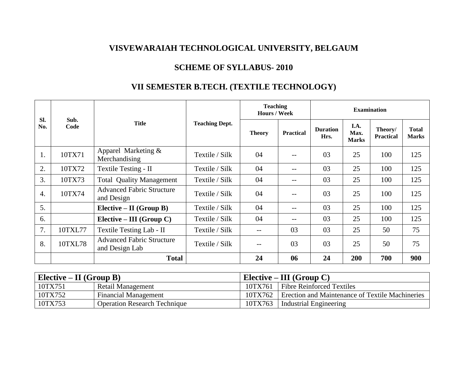## **SCHEME OF SYLLABUS- 2010**

# **VII SEMESTER B.TECH. (TEXTILE TECHNOLOGY)**

| SI.              | <b>Teaching</b><br><b>Hours / Week</b><br>Sub.<br><b>Title</b><br><b>Teaching Dept.</b><br>Code<br><b>Theory</b> |                                                    | <b>Examination</b> |     |                  |                         |                              |                             |                              |
|------------------|------------------------------------------------------------------------------------------------------------------|----------------------------------------------------|--------------------|-----|------------------|-------------------------|------------------------------|-----------------------------|------------------------------|
| No.              |                                                                                                                  |                                                    |                    |     | <b>Practical</b> | <b>Duration</b><br>Hrs. | I.A.<br>Max.<br><b>Marks</b> | Theory/<br><b>Practical</b> | <b>Total</b><br><b>Marks</b> |
| 1.               | 10TX71                                                                                                           | Apparel Marketing &<br>Merchandising               | Textile / Silk     | 04  |                  | 03                      | 25                           | 100                         | 125                          |
| 2.               | 10TX72                                                                                                           | Textile Testing - II                               | Textile / Silk     | 04  | $- -$            | 03                      | 25                           | 100                         | 125                          |
| 3.               | 10TX73                                                                                                           | <b>Total Quality Management</b>                    | Textile / Silk     | 04  | $- -$            | 03                      | 25                           | 100                         | 125                          |
| $\overline{4}$ . | 10TX74                                                                                                           | <b>Advanced Fabric Structure</b><br>and Design     | Textile / Silk     | 04  | $ -$             | 03                      | 25                           | 100                         | 125                          |
| 5.               |                                                                                                                  | Elective – II (Group B)                            | Textile / Silk     | 04  | $ -$             | 03                      | 25                           | 100                         | 125                          |
| 6.               |                                                                                                                  | Elective – III (Group C)                           | Textile / Silk     | 04  | $-\,-$           | 03                      | 25                           | 100                         | 125                          |
| 7.               | 10TXL77                                                                                                          | Textile Testing Lab - II                           | Textile / Silk     | --  | 03               | 03                      | 25                           | 50                          | 75                           |
| 8.               | 10TXL78                                                                                                          | <b>Advanced Fabric Structure</b><br>and Design Lab | Textile / Silk     | $-$ | 03               | 03                      | 25                           | 50                          | 75                           |
|                  |                                                                                                                  | <b>Total</b>                                       |                    | 24  | 06               | 24                      | 200                          | 700                         | 900                          |

| Elective – II (Group B) |                                     |         | Elective – III (Group C)                        |
|-------------------------|-------------------------------------|---------|-------------------------------------------------|
| 10TX751                 | Retail Management                   | 10TX761 | <b>Fibre Reinforced Textiles</b>                |
| 10TX752                 | <b>Financial Management</b>         | 10TX762 | Erection and Maintenance of Textile Machineries |
| 10TX753                 | <b>Operation Research Technique</b> | 10TX763 | Industrial Engineering                          |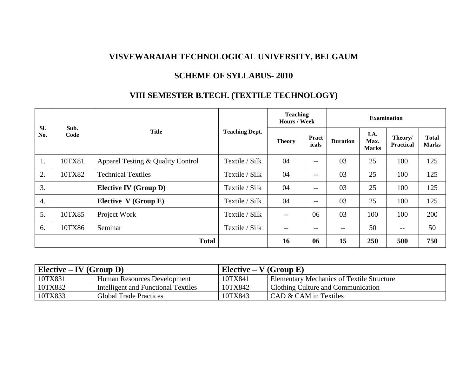# **SCHEME OF SYLLABUS- 2010**

# **VIII SEMESTER B.TECH. (TEXTILE TECHNOLOGY)**

| Sl. | Sub.<br>Code | <b>Title</b>                      | <b>Teaching Dept.</b> | <b>Teaching</b><br>Hours / Week |                       | <b>Examination</b> |                              |                             |                              |  |
|-----|--------------|-----------------------------------|-----------------------|---------------------------------|-----------------------|--------------------|------------------------------|-----------------------------|------------------------------|--|
| No. |              |                                   |                       | <b>Theory</b>                   | <b>Pract</b><br>icals | <b>Duration</b>    | I.A.<br>Max.<br><b>Marks</b> | Theory/<br><b>Practical</b> | <b>Total</b><br><b>Marks</b> |  |
| 1.  | 10TX81       | Apparel Testing & Quality Control | Textile / Silk        | 04                              | --                    | 03                 | 25                           | 100                         | 125                          |  |
| 2.  | 10TX82       | <b>Technical Textiles</b>         | Textile / Silk        | 04                              | $- -$                 | 03                 | 25                           | 100                         | 125                          |  |
| 3.  |              | <b>Elective IV</b> (Group D)      | Textile / Silk        | 04                              | $- -$                 | 03                 | 25                           | 100                         | 125                          |  |
| 4.  |              | Elective V (Group E)              | Textile / Silk        | 04                              | --                    | 03                 | 25                           | 100                         | 125                          |  |
| 5.  | 10TX85       | Project Work                      | Textile / Silk        | $- -$                           | 06                    | 03                 | 100                          | 100                         | 200                          |  |
| 6.  | 10TX86       | Seminar                           | Textile / Silk        | $- -$                           | --                    | --                 | 50                           | $- -$                       | 50                           |  |
|     |              | <b>Total</b>                      |                       | 16                              | 06                    | 15                 | 250                          | 500                         | 750                          |  |

| Elective – IV (Group D) |                                     | Elective – $V$ (Group E) |                                                  |
|-------------------------|-------------------------------------|--------------------------|--------------------------------------------------|
| 10TX831                 | Human Resources Development         | 10TX841                  | <b>Elementary Mechanics of Textile Structure</b> |
| 10TX832                 | Intelligent and Functional Textiles | 10TX842                  | <b>Clothing Culture and Communication</b>        |
| 10TX833                 | <b>Global Trade Practices</b>       | 10TX843                  | CAD & CAM in Textiles                            |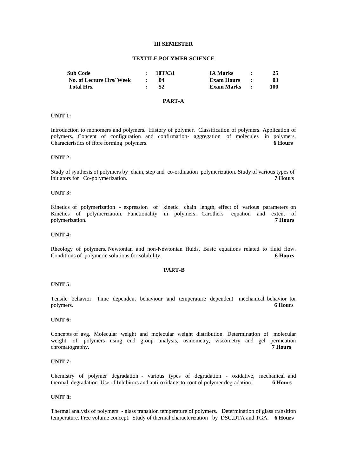#### **III SEMESTER**

#### **TEXTILE POLYMER SCIENCE**

| <b>Sub Code</b>          | 10TX31 | <b>IA Marks</b>     |     |
|--------------------------|--------|---------------------|-----|
| No. of Lecture Hrs/ Week |        | <b>Exam Hours :</b> | 03  |
| Total Hrs.               | 52     | Exam Marks :        | 100 |

#### **PART-A**

#### **UNIT 1:**

Introduction to monomers and polymers. History of polymer. Classification of polymers. Application of polymers. Concept of configuration and confirmation- aggregation of molecules in polymers. Characteristics of fibre forming polymers. **6 Hours**

## **UNIT 2:**

Study of synthesis of polymers by chain, step and co-ordination polymerization. Study of various types of initiators for Co-polymerization. **7 Hours**

## **UNIT 3:**

Kinetics of polymerization - expression of kinetic chain length, effect of various parameters on Kinetics of polymerization. Functionality in polymers. Carothers equation and extent of polymerization. **7 Hours**

#### **UNIT 4:**

Rheology of polymers. Newtonian and non-Newtonian fluids, Basic equations related to fluid flow. Conditions of polymeric solutions for solubility. **6 Hours**

#### **PART-B**

#### **UNIT 5:**

Tensile behavior. Time dependent behaviour and temperature dependent mechanical behavior for polymers. **6 Hours**

## **UNIT 6:**

Concepts of avg. Molecular weight and molecular weight distribution. Determination of molecular weight of polymers using end group analysis, osmometry, viscometry and gel permeation chromatography. **7 Hours**

## **UNIT 7:**

Chemistry of polymer degradation - various types of degradation - oxidative, mechanical and thermal degradation. Use of Inhibitors and anti-oxidants to control polymer degradation. **6 Hours**

#### **UNIT 8:**

Thermal analysis of polymers - glass transition temperature of polymers. Determination of glass transition temperature. Free volume concept. Study of thermal characterization by DSC,DTA and TGA. **6 Hours**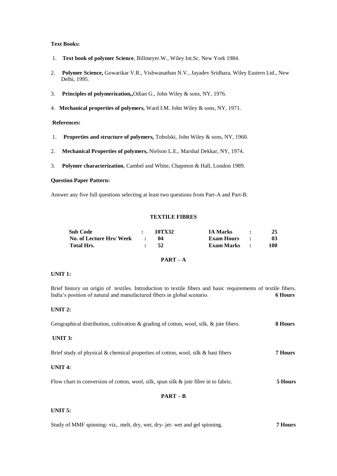## **Text Books:**

- 1. **Text book of polymer Science**, Billmeyer.W., Wiley Int.Sc. New York 1984.
- 2. **Polymer Science,** Gowarikar V.R., Vishwanathan N.V., Jayadev Sridhara, Wiley Eastern Ltd., New Delhi, 1995.
- 3. **Principles of polymerization,,**Odian G., John Wiley & sons, NY, 1976.
- 4. **Mechanical properties of polymers,** Ward I.M. John Wiley & sons, NY, 1971.

## **References:**

- 1. **Properties and structure of polymers,** Tobolski, John Wiley & sons, NY, 1960.
- 2. **Mechanical Properties of polymers,** Nielson L.E., Marshal Dekkar, NY, 1974.
- 3. **Polymer characterization**, Cambel and White, Chapmon & Hall, London 1989.

## **Question Paper Pattern:**

Answer any five full questions selecting at least two questions from Part-A and Part-B.

#### **TEXTILE FIBRES**

| <b>Sub Code</b>            | 10TX32          | <b>IA Marks</b> | 25  |
|----------------------------|-----------------|-----------------|-----|
| No. of Lecture Hrs/ Week : |                 | Exam Hours :    | 03  |
| <b>Total Hrs.</b>          | $\therefore$ 52 | Exam Marks :    | 100 |

## **PART – A**

## **UNIT 1:**

Brief history on origin of textiles. Introduction to textile fibers and basic requirements of textile fibers. India's position of natural and manufactured fibers in global scenario. **6 Hours**

## **UNIT 2:**

| Geographical distribution, cultivation & grading of cotton, wool, silk, $\&$ jute fibers. | 8 Hours |
|-------------------------------------------------------------------------------------------|---------|
| UNIT $3:$                                                                                 |         |
| Brief study of physical & chemical properties of cotton, wool, silk & bast fibers         | 7 Hours |

## **UNIT 4:**

Flow chart in conversion of cotton, wool, silk, spun silk & jute fibre in to fabric. **5 Hours**

## **PART – B**

#### **UNIT 5:**

|  |  |  | Study of MMF spinning-viz,. melt, dry, wet, dry-jet-wet and gel spinning. | <b>7 Hours</b> |
|--|--|--|---------------------------------------------------------------------------|----------------|
|--|--|--|---------------------------------------------------------------------------|----------------|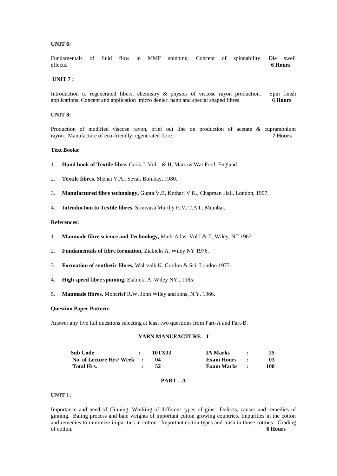## **UNIT 6:**

Fundamentals of fluid flow in MMF spinning. Concept of spinnability. Die swell effects. **6 Hours**

#### **UNIT 7 :**

Introduction to regenerated fibers, chemistry & physics of viscose rayon production. Spin finish applications. Concept and application micro denier, nano and special shaped fibres. **6 Hours**

#### **UNIT 8:**

Production of modified viscose rayon, brief out line on production of acetate & cupramonium rayon. Manufacture of eco-friendly regenerated fibre. **7 Hours**

#### **Text Books:**

- 1. **Hand book of Textile fibre,** Cook J. Vol.1 & II, Marrow Wat Ford, England.
- 2. **Textile fibres,** Shenai V.A., Sevak Bombay, 1980.
- 3. **Manufactured fibre technology,** Gupta V.B, Kothari V.K., Chapman Hall, London, 1997.
- 4. **Introduction to Textile fibres,** Srinivasa Murthy H.V, T.A.I., Mumbai.

## **References:**

- 1. **Manmade fibre science and Technology,** Mark Atlas, Vol.I & II, Wiley, NT 1967.
- 2. **Fundamentals of fibre formation,** Ziabicki A. Wiley NY 1976.
- 3. **Formation of synthetic fibres,** Walczalk.K. Gordon & Sci. London 1977.
- 4. **High speed fibre spinning,** Ziabicki A. Wiley NY., 1985.
- 5. **Manmade fibres,** Moncrief R.W. John Wiley and sons, N.Y. 1966.

#### **Question Paper Pattern:**

Answer any five full questions selecting at least two questions from Part-A and Part-B.

## **YARN MANUFACTURE – I**

| <b>Sub Code</b>            | 10TX33  | <b>IA Marks</b> | 25  |
|----------------------------|---------|-----------------|-----|
| No. of Lecture Hrs/ Week : | $^{14}$ | Exam Hours      | 03  |
| Total Hrs.                 | 52      | Exam Marks      | 100 |

## **PART – A**

## **UNIT 1:**

Importance and need of Ginning. Working of different types of gins. Defects, causes and remedies of ginning. Baling process and bale weights of important cotton growing countries. Impurities in the cotton and remedies to minimize impurities in cotton. Important cotton types and trash in those cottons. Grading of cotton. **6 Hours**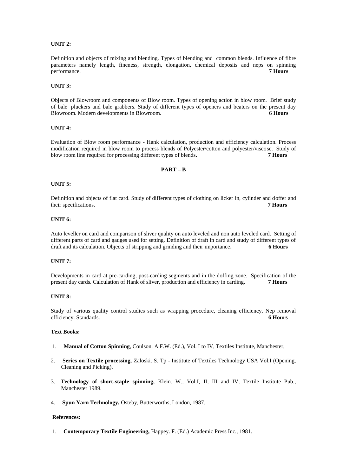## **UNIT 2:**

Definition and objects of mixing and blending. Types of blending and common blends. Influence of fibre parameters namely length, fineness, strength, elongation, chemical deposits and neps on spinning performance. **7 Hours** 

#### **UNIT 3:**

Objects of Blowroom and components of Blow room. Types of opening action in blow room. Brief study of bale pluckers and bale grabbers. Study of different types of openers and beaters on the present day Blowroom. Modern developments in Blowroom. **6 Hours**

## **UNIT 4:**

Evaluation of Blow room performance - Hank calculation, production and efficiency calculation. Process modification required in blow room to process blends of Polyester/cotton and polyester/viscose. Study of blow room line required for processing different types of blends**. 7 Hours**

## **PART – B**

#### **UNIT 5:**

Definition and objects of flat card. Study of different types of clothing on licker in, cylinder and doffer and their specifications. **7 Hours**

## **UNIT 6:**

Auto leveller on card and comparison of sliver quality on auto leveled and non auto leveled card. Setting of different parts of card and gauges used for setting. Definition of draft in card and study of different types of draft and its calculation. Objects of stripping and grinding and their importance**. 6 Hours**

#### **UNIT 7:**

Developments in card at pre-carding, post-carding segments and in the doffing zone. Specification of the present day cards. Calculation of Hank of sliver, production and efficiency in carding. **7 Hours**

#### **UNIT 8:**

Study of various quality control studies such as wrapping procedure, cleaning efficiency, Nep removal efficiency. Standards. **6 Hours**

## **Text Books:**

- 1. **Manual of Cotton Spinning**, Coulson. A.F.W. (Ed.), Vol. I to IV, Textiles Institute, Manchester,
- 2. **Series on Textile processing,** Zaloski. S. Tp Institute of Textiles Technology USA Vol.I (Opening, Cleaning and Picking).
- 3. **Technology of short-staple spinning,** Klein. W., Vol.I, II, III and IV, Textile Institute Pub., Manchester 1989.
- 4. **Spun Yarn Technology,** Osteby, Butterworths, London, 1987.

#### **References:**

1. **Contemporary Textile Engineering,** Happey. F. (Ed.) Academic Press Inc., 1981.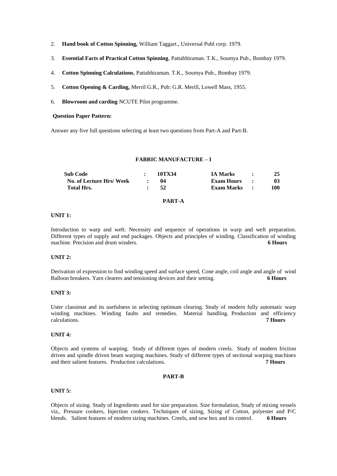- 2. **Hand book of Cotton Spinning,** William Taggart., Universal Publ corp. 1979.
- 3. **Essential Facts of Practical Cotton Spinning**, Pattabhiraman. T.K., Soumya Pub., Bombay 1979.
- 4. **Cotton Spinning Calculations**, Pattabhiraman. T.K., Soumya Pub., Bombay 1979.
- 5. **Cotton Opening & Carding,** Merril G.R., Pub: G.R. Merill, Lowell Mass, 1955.
- 6. **Blowroom and carding** NCUTE Pilot programme.

#### **Question Paper Pattern:**

Answer any five full questions selecting at least two questions from Part-A and Part-B.

## **FABRIC MANUFACTURE – I**

| Sub Code                | 10TX34     | <b>IA Marks</b>     | $\cdot$ $\cdot$ | 25              |
|-------------------------|------------|---------------------|-----------------|-----------------|
| No. of Lecture Hrs/Week | -04        | <b>Exam Hours :</b> |                 | 03 <sup>2</sup> |
| Total Hrs.              | $\cdot$ 52 | Exam Marks :        |                 | 100             |

## **PART-A**

## **UNIT 1:**

Introduction to warp and weft. Necessity and sequence of operations in warp and weft preparation. Different types of supply and end packages. Objects and principles of winding. Classification of winding machine. Precision and drum winders. **6 Hours**

## **UNIT 2:**

Derivation of expression to find winding speed and surface speed, Cone angle, coil angle and angle of wind Balloon breakers. Yarn clearers and tensioning devices and their setting. **6 Hours**

#### **UNIT 3:**

Uster classimat and its usefulness in selecting optimum clearing. Study of modern fully automatic warp winding machines. Winding faults and remedies. Material handling. Production and efficiency<br>calculations. 7 Hours calculations. **7 Hours**

#### **UNIT 4:**

Objects and systems of warping. Study of different types of modern creels. Study of modern friction driven and spindle driven beam warping machines. Study of different types of sectional warping machines and their salient features. Production calculations. **7 Hours**

## **PART-B**

#### **UNIT 5:**

Objects of sizing. Study of Ingredients used for size preparation. Size formulation, Study of mixing vessels viz,. Pressure cookers, Injection cookers. Techniques of sizing, Sizing of Cotton, polyester and P/C blends. Salient features of modern sizing machines. Creels, and sow box and its control. **6 Hours**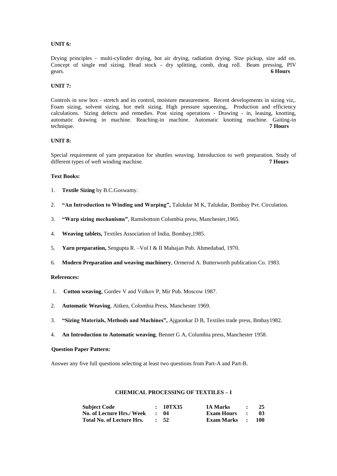## **UNIT 6:**

Drying principles – multi-cylinder drying, hot air drying, radiation drying. Size pickup, size add on. Concept of single end sizing. Head stock - dry splitting, comb, drag roll. Beam pressing, PIV gears. **6 Hours**

## **UNIT 7:**

Controls in sow box - stretch and its control, moisture measurement. Recent developments in sizing viz,. Foam sizing, solvent sizing, hot melt sizing. High pressure squeezing,. Production and efficiency calculations. Sizing defects and remedies. Post sizing operations - Drawing - in, leasing, knotting, automatic drawing in machine. Reaching-in machine. Automatic knotting machine. Gaiting-in technique. **7 Hours**

## **UNIT 8:**

Special requirement of yarn preparation for shuttles weaving. Introduction to weft preparation. Study of different types of weft winding machine. **7 Hours**

#### **Text Books:**

- 1. **Textile Sizing** by B.C.Goswamy.
- 2. **"An Introduction to Winding and Warping",** Talukdar M K, Talukdar, Bombay Pvt. Circulation.
- 3. **"Warp sizing mechanisms"**, Ramsbottom Columbia press, Manchester,1965.
- 4. **Weaving tablets,** Textiles Association of India, Bombay,1985.
- 5. **Yarn preparation,** Sengupta R. –Vol I & II Mahajan Pub. Ahmedabad, 1970.
- 6. **Modern Preparation and weaving machinery**, Ormerod A. Butterworth publication Co. 1983.

#### **References:**

- 1. **Cotton weaving**, Gordev V and Volkov P, Mir Pub. Moscow 1987.
- 2. **Automatic Weaving**, Aitken, Colombia Press, Manchester 1969.
- 3. **"Sizing Materials, Methods and Machines",** Ajgaonkar D B, Textiles trade press, Bmbay1982.
- 4. **An Introduction to Automatic weaving**, Bennet G A, Columbia press, Manchester 1958.

## **Question Paper Pattern:**

Answer any five full questions selecting at least two questions from Part-A and Part-B.

## **CHEMICAL PROCESSING OF TEXTILES – I**

| <b>Subject Code</b>       | : 10TX35        | <b>IA Marks</b>     | $\sim$        | 25   |
|---------------------------|-----------------|---------------------|---------------|------|
| No. of Lecture Hrs./ Week | $\cdot$ 04      | <b>Exam Hours</b>   | $\sim$ $\sim$ | -03- |
| Total No. of Lecture Hrs. | $\therefore$ 52 | <b>Exam Marks :</b> |               | -100 |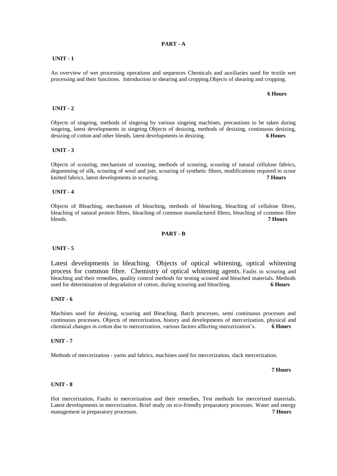## **PART - A**

## **UNIT - 1**

An overview of wet processing operations and sequences Chemicals and auxiliaries used for textile wet processing and their functions. Introduction to shearing and cropping.Objects of shearing and cropping.

 **6 Hours**

## **UNIT - 2**

Objects of singeing, methods of singeing by various singeing machines, precautions to be taken during singeing, latest developments in singeing Objects of desizing, methods of desizing, continuous desizing, desizing of cotton and other blends, latest developments in desizing. **6 Hours**

#### **UNIT - 3**

Objects of scouring, mechanism of scouring, methods of scouring, scouring of natural cellulose fabrics, degumming of silk, scouring of wool and jute, scouring of synthetic fibres, modifications required to scour knitted fabrics, latest developments in scouring. **7 Hours**

#### **UNIT - 4**

Objects of Bleaching, mechanism of bleaching, methods of bleaching, bleaching of cellulose fibres, bleaching of natural protein fibres, bleaching of common manufactured fibres, bleaching of common fibre blends. **7 Hours**

#### **PART - B**

#### **UNIT - 5**

Latest developments in bleaching. Objects of optical whitening, optical whitening process for common fibre. Chemistry of optical whitening agents. Faults in scouring and bleaching and their remedies, quality control methods for testing scoured and bleached materials. Methods used for determination of degradation of cotton, during scouring and bleaching. **6 Hours**

## **UNIT - 6**

Machines used for desizing, scouring and Bleaching. Batch processes, semi continuous processes and continuous processes. Objects of mercerization, history and developments of mercerization, physical and chemical changes in cotton due to mercerization, various factors affecting mercerization's. **6 Hours**

#### **UNIT - 7**

Methods of mercerization - yarns and fabrics, machines used for mercerization, slack mercerization.

**7 Hours**

#### **UNIT - 8**

Hot mercerization, Faults in mercerization and their remedies, Test methods for mercerized materials. Latest developments in mercerization. Brief study on eco-friendly preparatory processes. Water and energy management in preparatory processes. **7 Hours**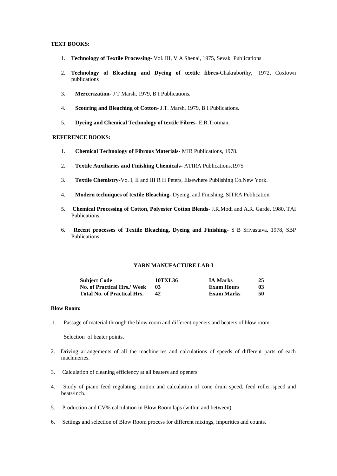## **TEXT BOOKS:**

- 1. **Technology of Textile Processing-** Vol. III, V A Shenai, 1975, Sevak Publications
- 2. **Technology of Bleaching and Dyeing of textile fibres**-Chakraborthy, 1972, Coxtown publications
- 3. **Mercerization-** J T Marsh, 1979, B I Publications.
- 4. **Scouring and Bleaching of Cotton** J.T. Marsh, 1979, B I Publications.
- 5. **Dyeing and Chemical Technology of textile Fibres-** E.R.Trotman,

#### **REFERENCE BOOKS:**

- 1. **Chemical Technology of Fibrous Materials-** MIR Publications, 1978.
- 2. **Textile Auxiliaries and Finishing Chemicals-** ATIRA Publications.1975
- 3. **Textile Chemistry-**Vo. I, II and III R H Peters, Elsewhere Publishing Co.New York.
- 4. **Modern techniques of textile Bleaching** Dyeing, and Finishing, SITRA Publication.
- 5. **Chemical Processing of Cotton, Polyester Cotton Blends** J.R.Modi and A.R. Garde, 1980, TAI Publications.
- 6. **Recent processes of Textile Bleaching, Dyeing and Finishing** S B Srivastava, 1978, SBP Publications.

## **YARN MANUFACTURE LAB-I**

| <b>Subject Code</b>                | 10TXL36 | <b>IA Marks</b>   | 25 |
|------------------------------------|---------|-------------------|----|
| <b>No. of Practical Hrs./ Week</b> | -03     | <b>Exam Hours</b> | 03 |
| <b>Total No. of Practical Hrs.</b> |         | Exam Marks        | 50 |

## **Blow Room:**

1. Passage of material through the blow room and different openers and beaters of blow room.

Selection of beater points.

- 2. Driving arrangements of all the machineries and calculations of speeds of different parts of each machineries.
- 3. Calculation of cleaning efficiency at all beaters and openers.
- 4. Study of piano feed regulating motion and calculation of cone drum speed, feed roller speed and beats/inch.
- 5. Production and CV% calculation in Blow Room laps (within and between).
- 6. Settings and selection of Blow Room process for different mixings, impurities and counts.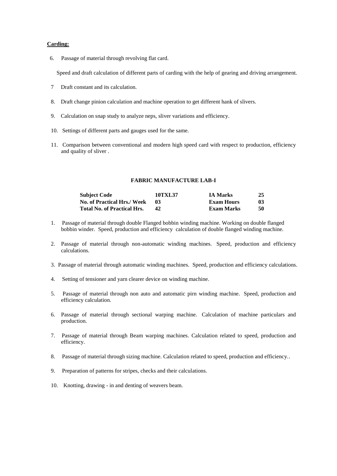#### **Carding:**

6. Passage of material through revolving flat card.

Speed and draft calculation of different parts of carding with the help of gearing and driving arrangement.

- 7 Draft constant and its calculation.
- 8. Draft change pinion calculation and machine operation to get different hank of slivers.
- 9. Calculation on snap study to analyze neps, sliver variations and efficiency.
- 10. Settings of different parts and gauges used for the same.
- 11. Comparison between conventional and modern high speed card with respect to production, efficiency and quality of sliver .

#### **FABRIC MANUFACTURE LAB-I**

| <b>Subject Code</b>                | 10TXL37 | <b>IA Marks</b> | 25 |
|------------------------------------|---------|-----------------|----|
| No. of Practical Hrs./ Week        | -03     | Exam Hours      | 03 |
| <b>Total No. of Practical Hrs.</b> | 42      | Exam Marks      | 50 |

- 1. Passage of material through double Flanged bobbin winding machine. Working on double flanged bobbin winder. Speed, production and efficiency calculation of double flanged winding machine.
- 2. Passage of material through non-automatic winding machines. Speed, production and efficiency calculations.
- 3. Passage of material through automatic winding machines. Speed, production and efficiency calculations.
- 4. Setting of tensioner and yarn clearer device on winding machine.
- 5. Passage of material through non auto and automatic pirn winding machine. Speed, production and efficiency calculation.
- 6. Passage of material through sectional warping machine. Calculation of machine particulars and production.
- 7. Passage of material through Beam warping machines. Calculation related to speed, production and efficiency.
- 8. Passage of material through sizing machine. Calculation related to speed, production and efficiency..
- 9. Preparation of patterns for stripes, checks and their calculations.
- 10. Knotting, drawing in and denting of weavers beam.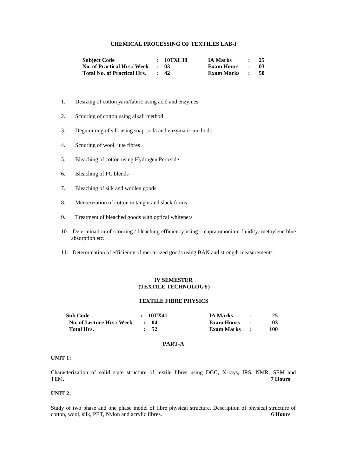## **CHEMICAL PROCESSING OF TEXTILES LAB-I**

| <b>Subject Code</b>                | : 10TXL38       | <b>IA Marks</b> | $\therefore$ 25             |      |
|------------------------------------|-----------------|-----------------|-----------------------------|------|
| <b>No. of Practical Hrs./ Week</b> | - 13            | Exam Hours      | $\sim$ $\sim$ $\sim$ $\sim$ | - 03 |
| <b>Total No. of Practical Hrs.</b> | $\therefore$ 42 | Exam Marks :    |                             | - 50 |

- 1. Desizing of cotton yarn/fabric using acid and enzymes
- 2. Scouring of cotton using alkali method
- 3. Degumming of silk using soap-soda and enzymatic methods.
- 4. Scouring of wool, jute fibres
- 5. Bleaching of cotton using Hydrogen Peroxide
- 6. Bleaching of PC blends
- 7. Bleaching of silk and woolen goods
- 8. Mercerization of cotton in taught and slack forms
- 9. Treatment of bleached goods with optical whiteners
- 10. Determination of scouring / bleaching efficiency using cuprammonium fluidity, methylene blue absorption etc.
- 11. Determination of efficiency of mercerized goods using BAN and strength measurements

## **IV SEMESTER (TEXTILE TECHNOLOGY)**

## **TEXTILE FIBRE PHYSICS**

| <b>Sub Code</b>           | : 10TX41        | <b>IA Marks</b> | 25  |
|---------------------------|-----------------|-----------------|-----|
| No. of Lecture Hrs./ Week | $\cdot$ 04      | Exam Hours :    | 03  |
| Total Hrs.                | $\therefore$ 52 | Exam Marks :    | 100 |

## **PART-A**

## **UNIT 1:**

Characterization of solid state structure of textile fibres using DGC, X-rays, IRS, NMR, SEM and TEM. **7 Hours**

## **UNIT 2:**

Study of two phase and one phase model of fibre physical structure. Description of physical structure of cotton, wool, silk, PET, Nylon and acrylic fibres. **6 Hours**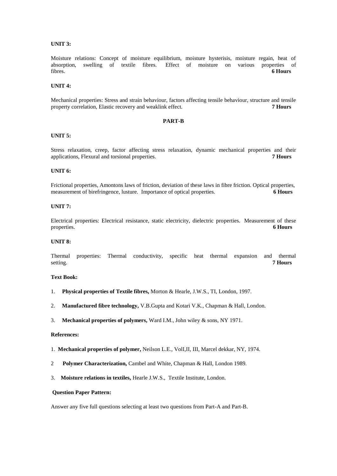## **UNIT 3:**

Moisture relations: Concept of moisture equilibrium, moisture hysterisis, moisture regain, heat of absorption, swelling of textile fibres. Effect of moisture on various properties of absorption, swelling of textile fibres. Effect of moisture on various properties of fibres. **6 Hours**

## **UNIT 4:**

Mechanical properties: Stress and strain behaviour, factors affecting tensile behaviour, structure and tensile property correlation, Elastic recovery and weaklink effect. **7 Hours**

#### **PART-B**

## **UNIT 5:**

Stress relaxation, creep, factor affecting stress relaxation, dynamic mechanical properties and their applications, Flexural and torsional properties. **7 Hours**

## **UNIT 6:**

Frictional properties, Amontons laws of friction, deviation of these laws in fibre friction. Optical properties, measurement of birefringence, lusture. Importance of optical properties. **6 Hours**

#### **UNIT 7:**

Electrical properties: Electrical resistance, static electricity, dielectric properties. Measurement of these properties. **6 Hours**

#### **UNIT 8:**

Thermal properties: Thermal conductivity, specific heat thermal expansion and thermal setting. **7 Hours**

## **Text Book:**

- 1. **Physical properties of Textile fibres,** Morton & Hearle, J.W.S., TI, London, 1997.
- 2. **Manufactured fibre technology,** V.B.Gupta and Kotari V.K., Chapman & Hall, London.
- 3. **Mechanical properties of polymers,** Ward I.M., John wiley & sons, NY 1971.

#### **References:**

- 1. **Mechanical properties of polymer,** Neilson L.E., VolI,II, III, Marcel dekkar, NY, 1974.
- 2 **Polymer Characterization, Cambel and White, Chapman & Hall, London 1989.**
- 3. **Moisture relations in textiles,** Hearle J.W.S., Textile Institute, London.

#### **Question Paper Pattern:**

Answer any five full questions selecting at least two questions from Part-A and Part-B.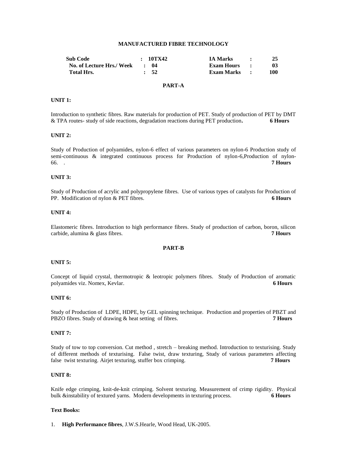## **MANUFACTURED FIBRE TECHNOLOGY**

| <b>Sub Code</b>           | : 10TX42   | <b>IA Marks</b>   |     |
|---------------------------|------------|-------------------|-----|
| No. of Lecture Hrs./ Week | $\cdot$ 04 | <b>Exam Hours</b> | 03  |
| <b>Total Hrs.</b>         | $\cdot$ 52 | <b>Exam Marks</b> | 100 |

## **PART-A**

#### **UNIT 1:**

Introduction to synthetic fibres. Raw materials for production of PET. Study of production of PET by DMT & TPA routes- study of side reactions, degradation reactions during PET production**. 6 Hours**

## **UNIT 2:**

Study of Production of polyamides, nylon-6 effect of various parameters on nylon-6 Production study of semi-continuous & integrated continuous process for Production of nylon-6,Production of nylon-66. . **7 Hours**

#### **UNIT 3:**

Study of Production of acrylic and polypropylene fibres. Use of various types of catalysts for Production of PP. Modification of nylon & PET fibres. **6 Hours**

#### **UNIT 4:**

Elastomeric fibres. Introduction to high performance fibres. Study of production of carbon, boron, silicon carbide, alumina & glass fibres. **7 Hours**

## **PART-B**

## **UNIT 5:**

Concept of liquid crystal, thermotropic & leotropic polymers fibres. Study of Production of aromatic polyamides viz. Nomex, Kevlar. **6 Hours**

#### **UNIT 6:**

Study of Production of LDPE, HDPE, by GEL spinning technique. Production and properties of PBZT and PBZO fibres. Study of drawing & heat setting of fibres. **7 Hours**

#### **UNIT 7:**

Study of tow to top conversion. Cut method , stretch – breaking method. Introduction to texturising. Study of different methods of texturising. False twist, draw texturing, Study of various parameters affecting false twist texturing. Airjet texturing, stuffer box crimping. **7 Hours**

## **UNIT 8:**

Knife edge crimping, knit-de-knit crimping. Solvent texturing. Measurement of crimp rigidity. Physical bulk &instability of textured yarns. Modern developments in texturing process. **6 Hours**

## **Text Books:**

1. **High Performance fibres**, J.W.S.Hearle, Wood Head, UK-2005.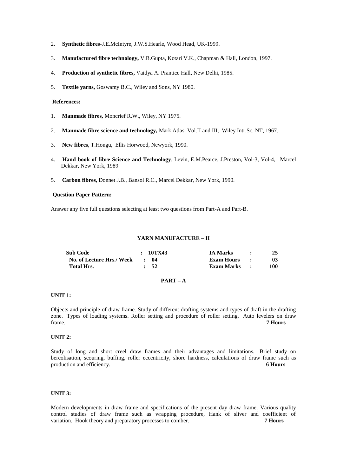- 2. **Synthetic fibres**-J.E.McIntyre, J.W.S.Hearle, Wood Head, UK-1999.
- 3. **Manufactured fibre technology,** V.B.Gupta, Kotari V.K., Chapman & Hall, London, 1997.
- 4. **Production of synthetic fibres,** Vaidya A. Prantice Hall, New Delhi, 1985.
- 5. **Textile yarns,** Goswamy B.C., Wiley and Sons, NY 1980.

## **References:**

- 1. **Manmade fibres,** Moncrief R.W., Wiley, NY 1975.
- 2. **Manmade fibre science and technology,** Mark Atlas, Vol.II and III, Wiley Intr.Sc. NT, 1967.
- 3. **New fibres,** T.Hongu, Ellis Horwood, Newyork, 1990.
- 4. **Hand book of fibre Science and Technology**, Levin, E.M.Pearce, J.Preston, Vol-3, Vol-4, Marcel Dekkar, New York, 1989
- 5. **Carbon fibres,** Donnet J.B., Bansol R.C., Marcel Dekkar, New York, 1990.

## **Question Paper Pattern:**

Answer any five full questions selecting at least two questions from Part-A and Part-B.

#### **YARN MANUFACTURE – II**

| <b>Sub Code</b>           | : 10TX43   | <b>IA Marks</b> |     |
|---------------------------|------------|-----------------|-----|
| No. of Lecture Hrs./ Week | $\cdot$ 04 | Exam Hours :    | 03  |
| Total Hrs.                | $\cdot$ 52 | Exam Marks :    | 100 |

## **PART – A**

## **UNIT 1:**

Objects and principle of draw frame. Study of different drafting systems and types of draft in the drafting zone. Types of loading systems. Roller setting and procedure of roller setting. Auto levelers on draw frame. **7 Hours**

## **UNIT 2:**

Study of long and short creel draw frames and their advantages and limitations. Brief study on bercolisation, scouring, buffing, roller eccentricity, shore hardness, calculations of draw frame such as production and efficiency. **6 Hours**

#### **UNIT 3:**

Modern developments in draw frame and specifications of the present day draw frame. Various quality control studies of draw frame such as wrapping procedure, Hank of sliver and coefficient of variation. Hook theory and preparatory processes to comber. **7 Hours**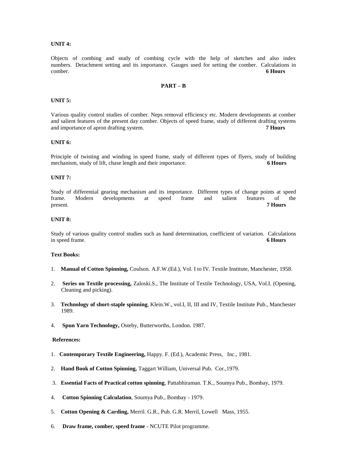## **UNIT 4:**

Objects of combing and study of combing cycle with the help of sketches and also index numbers. Detachment setting and its importance. Gauges used for setting the comber. Calculations in comber. **6 Hours**

## **PART – B**

#### **UNIT 5:**

Various quality control studies of comber. Neps removal efficiency etc. Modern developments at comber and salient features of the present day comber. Objects of speed frame, study of different drafting systems and importance of apron drafting system. **7 Hours**

## **UNIT 6:**

Principle of twisting and winding in speed frame, study of different types of flyers, study of building mechanism, study of lift, chase length and their importance. **6 Hours**

#### **UNIT 7:**

Study of differential gearing mechanism and its importance. Different types of change points at speed frame. Modern developments at speed frame and salient features of the present. **7 Hours**

#### **UNIT 8:**

Study of various quality control studies such as hand determination, coefficient of variation. Calculations in speed frame. **6 Hours**

#### **Text Books:**

- 1. **Manual of Cotton Spinning,** Coulson. A.F.W.(Ed.), Vol. I to IV. Textile Institute, Manchester, 1958.
- 2. **Series on Textile processing,** Zaloski.S., The Institute of Textile Technology, USA, Vol.I. (Opening, Cleaning and picking).
- 3. **Technology of short-staple spinning**, Klein.W., vol.I, II, III and IV, Textile Institute Pub., Manchester 1989.
- 4. **Spun Yarn Technology,** Osteby, Butterworths, London. 1987.

#### **References:**

- 1. **Contemporary Textile Engineering,** Happy. F. (Ed.), Academic Press, Inc., 1981.
- 2. **Hand Book of Cotton Spinning,** Taggart William, Universal Pub. Cor.,1979.
- 3. **Essential Facts of Practical cotton spinning**, Pattabhiraman. T.K., Soumya Pub., Bombay, 1979.
- 4. **Cotton Spinning Calculation**, Soumya Pub., Bombay 1979.
- 5. **Cotton Opening & Carding,** Merril. G.R., Pub. G.R. Merril, Lowell Mass, 1955.
- 6. **Draw frame, comber, speed frame** NCUTE Pilot programme.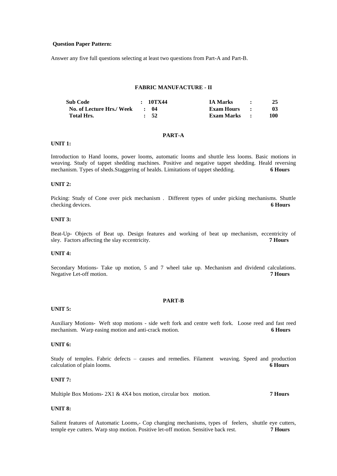#### **Question Paper Pattern:**

Answer any five full questions selecting at least two questions from Part-A and Part-B.

#### **FABRIC MANUFACTURE - II**

| <b>Sub Code</b>           | : 10TX44   | <b>IA Marks</b> | $\bullet$     |                 |
|---------------------------|------------|-----------------|---------------|-----------------|
| No. of Lecture Hrs./ Week | $\cdot$ 04 | Exam Hours      | $\sim$ $\sim$ | 03 <sup>°</sup> |
| Total Hrs.                | $\cdot$ 52 | Exam Marks :    |               | 100             |

#### **PART-A**

#### **UNIT 1:**

Introduction to Hand looms, power looms, automatic looms and shuttle less looms. Basic motions in weaving. Study of tappet shedding machines. Positive and negative tappet shedding. Heald reversing mechanism. Types of sheds.Staggering of healds. Limitations of tappet shedding. **6 Hours**

#### **UNIT 2:**

Picking: Study of Cone over pick mechanism . Different types of under picking mechanisms. Shuttle checking devices. **6 Hours**

#### **UNIT 3:**

Beat-Up- Objects of Beat up. Design features and working of beat up mechanism, eccentricity of sley. Factors affecting the slay eccentricity. **7 Hours**

## **UNIT 4:**

Secondary Motions- Take up motion, 5 and 7 wheel take up. Mechanism and dividend calculations. Negative Let-off motion. **7 Hours**

## **PART-B**

#### **UNIT 5:**

Auxiliary Motions- Weft stop motions - side weft fork and centre weft fork. Loose reed and fast reed mechanism. Warp easing motion and anti-crack motion. **6 Hours**

## **UNIT 6:**

Study of temples. Fabric defects – causes and remedies. Filament weaving. Speed and production calculation of plain looms. **6 Hours**

#### **UNIT 7:**

Multiple Box Motions- 2X1 & 4X4 box motion, circular box motion. **7 Hours**

#### **UNIT 8:**

Salient features of Automatic Looms,- Cop changing mechanisms, types of feelers, shuttle eye cutters, temple eye cutters. Warp stop motion. Positive let-off motion. Sensitive back rest. **7 Hours**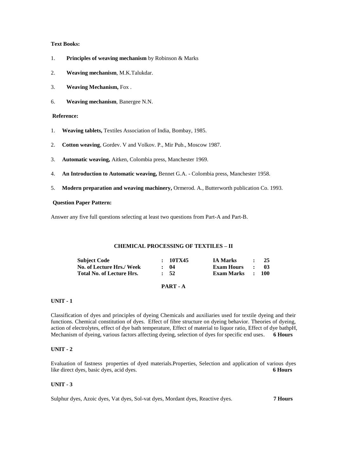## **Text Books:**

- 1. **Principles of weaving mechanism** by Robinson & Marks
- 2. **Weaving mechanism**, M.K.Talukdar.
- 3. **Weaving Mechanism,** Fox .
- 6. **Weaving mechanism**, Banergee N.N.

## **Reference:**

- 1. **Weaving tablets,** Textiles Association of India, Bombay, 1985.
- 2. **Cotton weaving**, Gordev. V and Volkov. P., Mir Pub., Moscow 1987.
- 3. **Automatic weaving,** Aitken, Colombia press, Manchester 1969.
- 4. **An Introduction to Automatic weaving,** Bennet G.A. Colombia press, Manchester 1958.
- 5. **Modern preparation and weaving machinery,** Ormerod. A., Butterworth publication Co. 1993.

## **Question Paper Pattern:**

Answer any five full questions selecting at least two questions from Part-A and Part-B.

#### **CHEMICAL PROCESSING OF TEXTILES – II**

| <b>Subject Code</b>              | : 10TX45         | <b>IA Marks</b>   |              | -25 |
|----------------------------------|------------------|-------------------|--------------|-----|
| No. of Lecture Hrs./ Week        | $\cdot$ 04       | <b>Exam Hours</b> | $\mathbf{r}$ | -03 |
| <b>Total No. of Lecture Hrs.</b> | $\frac{1}{2}$ 52 | Exam Marks : 100  |              |     |
|                                  |                  |                   |              |     |

## **PART - A**

## **UNIT - 1**

Classification of dyes and principles of dyeing Chemicals and auxiliaries used for textile dyeing and their functions. Chemical constitution of dyes. Effect of fibre structure on dyeing behavior. Theories of dyeing, action of electrolytes, effect of dye bath temperature, Effect of material to liquor ratio, Effect of dye bathpH, Mechanism of dyeing, various factors affecting dyeing, selection of dyes for specific end uses. **6 Hours**

## **UNIT - 2**

Evaluation of fastness properties of dyed materials.Properties, Selection and application of various dyes like direct dyes, basic dyes, acid dyes. **6 Hours**

## **UNIT - 3**

Sulphur dyes, Azoic dyes, Vat dyes, Sol-vat dyes, Mordant dyes, Reactive dyes. **7 Hours**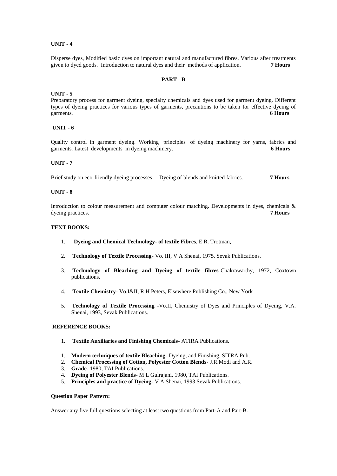## **UNIT - 4**

Disperse dyes, Modified basic dyes on important natural and manufactured fibres. Various after treatments given to dyed goods. Introduction to natural dyes and their methods of application. **7 Hours** given to dyed goods. Introduction to natural dyes and their methods of application.

## **PART - B**

## **UNIT - 5**

Preparatory process for garment dyeing, specialty chemicals and dyes used for garment dyeing. Different types of dyeing practices for various types of garments, precautions to be taken for effective dyeing of garments. **6 Hours** 

## **UNIT - 6**

Quality control in garment dyeing. Working principles of dyeing machinery for yarns, fabrics and garments. Latest developments in dyeing machinery. **6 Hours**

#### **UNIT - 7**

Brief study on eco-friendly dyeing processes. Dyeing of blends and knitted fabrics. **7 Hours**

## **UNIT - 8**

Introduction to colour measurement and computer colour matching. Developments in dyes, chemicals & dyeing practices. **7 Hours**

## **TEXT BOOKS:**

- 1. **Dyeing and Chemical Technology- of textile Fibres**, E.R. Trotman,
- 2. **Technology of Textile Processing-** Vo. III, V A Shenai, 1975, Sevak Publications.
- 3. **Technology of Bleaching and Dyeing of textile fibres-**Chakrawarthy, 1972, Coxtown publications.
- 4. **Textile Chemistry** Vo.I&II, R H Peters, Elsewhere Publishing Co., New York
- 5. **Technology of Textile Processing** -Vo.II, Chemistry of Dyes and Principles of Dyeing, V.A. Shenai, 1993, Sevak Publications.

#### **REFERENCE BOOKS:**

- 1. **Textile Auxiliaries and Finishing Chemicals-** ATIRA Publications.
- 1. **Modern techniques of textile Bleaching-** Dyeing, and Finishing, SITRA Pub.
- 2. **Chemical Processing of Cotton, Polyester Cotton Blends** J.R.Modi and A.R.
- 3. **Grade-** 1980, TAI Publications.
- 4. **Dyeing of Polyester Blends** M L Gulrajani, 1980, TAI Publications.
- 5. **Principles and practice of Dyeing-** V A Shenai, 1993 Sevak Publications.

## **Question Paper Pattern:**

Answer any five full questions selecting at least two questions from Part-A and Part-B.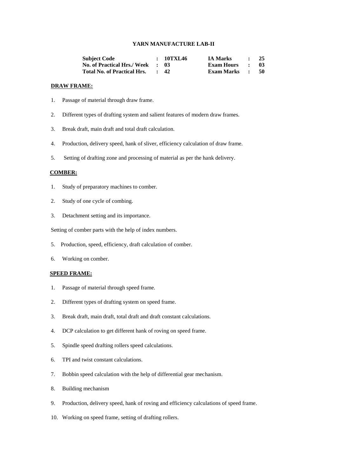## **YARN MANUFACTURE LAB-II**

| <b>Subject Code</b>                | : 10TXL46       | <b>IA Marks</b>   | $\sim$ $\sim$               | 25   |
|------------------------------------|-----------------|-------------------|-----------------------------|------|
| No. of Practical Hrs./ Week : 03   |                 | <b>Exam Hours</b> | $\sim$ $\sim$               | -03- |
| <b>Total No. of Practical Hrs.</b> | $\therefore$ 42 | <b>Exam Marks</b> | $\mathcal{L} = \mathcal{L}$ | - 50 |

#### **DRAW FRAME:**

- 1. Passage of material through draw frame.
- 2. Different types of drafting system and salient features of modern draw frames.
- 3. Break draft, main draft and total draft calculation.
- 4. Production, delivery speed, hank of sliver, efficiency calculation of draw frame.
- 5. Setting of drafting zone and processing of material as per the hank delivery.

## **COMBER:**

- 1. Study of preparatory machines to comber.
- 2. Study of one cycle of combing.
- 3. Detachment setting and its importance.

Setting of comber parts with the help of index numbers.

- 5. Production, speed, efficiency, draft calculation of comber.
- 6. Working on comber.

## **SPEED FRAME:**

- 1. Passage of material through speed frame.
- 2. Different types of drafting system on speed frame.
- 3. Break draft, main draft, total draft and draft constant calculations.
- 4. DCP calculation to get different hank of roving on speed frame.
- 5. Spindle speed drafting rollers speed calculations.
- 6. TPI and twist constant calculations.
- 7. Bobbin speed calculation with the help of differential gear mechanism.
- 8. Building mechanism
- 9. Production, delivery speed, hank of roving and efficiency calculations of speed frame.
- 10. Working on speed frame, setting of drafting rollers.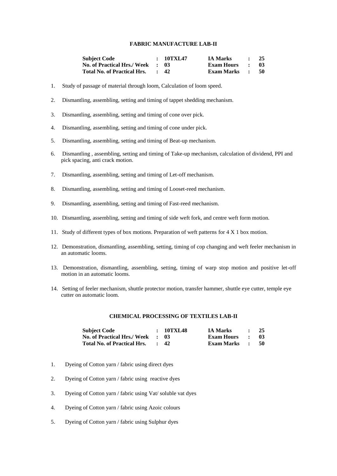#### **FABRIC MANUFACTURE LAB-II**

| <b>Subject Code</b>                | : 10TXL47 | <b>IA Marks</b>   | <b>Contract Contract Contract</b> | - 25 |
|------------------------------------|-----------|-------------------|-----------------------------------|------|
| <b>No. of Practical Hrs./ Week</b> | . 03      | <b>Exam Hours</b> | <b>Contract Contract Street</b>   | -03  |
| <b>Total No. of Practical Hrs.</b> | : 42      | Exam Marks :      |                                   | - 50 |

- 1. Study of passage of material through loom, Calculation of loom speed.
- 2. Dismantling, assembling, setting and timing of tappet shedding mechanism.
- 3. Dismantling, assembling, setting and timing of cone over pick.
- 4. Dismantling, assembling, setting and timing of cone under pick.
- 5. Dismantling, assembling, setting and timing of Beat-up mechanism.
- 6. Dismantling , assembling, setting and timing of Take-up mechanism, calculation of dividend, PPI and pick spacing, anti crack motion.
- 7. Dismantling, assembling, setting and timing of Let-off mechanism.
- 8. Dismantling, assembling, setting and timing of Looset-reed mechanism.
- 9. Dismantling, assembling, setting and timing of Fast-reed mechanism.
- 10. Dismantling, assembling, setting and timing of side weft fork, and centre weft form motion.
- 11. Study of different types of box motions. Preparation of weft patterns for 4 X 1 box motion.
- 12. Demonstration, dismantling, assembling, setting, timing of cop changing and weft feeler mechanism in an automatic looms.
- 13. Demonstration, dismantling, assembling, setting, timing of warp stop motion and positive let-off motion in an automatic looms.
- 14. Setting of feeler mechanism, shuttle protector motion, transfer hammer, shuttle eye cutter, temple eye cutter on automatic loom.

#### **CHEMICAL PROCESSING OF TEXTILES LAB-II**

| <b>Subject Code</b>                | : 10TXL48       | <b>IA Marks</b>   |              | 25   |
|------------------------------------|-----------------|-------------------|--------------|------|
| <b>No. of Practical Hrs./ Week</b> | - 13            | <b>Exam Hours</b> | $\bullet$    | -03  |
| <b>Total No. of Practical Hrs.</b> | $\therefore$ 42 | <b>Exam Marks</b> | $\mathbf{r}$ | - 50 |

- 1. Dyeing of Cotton yarn / fabric using direct dyes
- 2. Dyeing of Cotton yarn / fabric using reactive dyes
- 3. Dyeing of Cotton yarn / fabric using Vat/ soluble vat dyes
- 4. Dyeing of Cotton yarn / fabric using Azoic colours
- 5. Dyeing of Cotton yarn / fabric using Sulphur dyes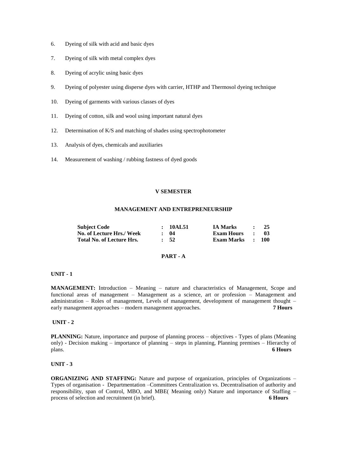- 6. Dyeing of silk with acid and basic dyes
- 7. Dyeing of silk with metal complex dyes
- 8. Dyeing of acrylic using basic dyes
- 9. Dyeing of polyester using disperse dyes with carrier, HTHP and Thermosol dyeing technique
- 10. Dyeing of garments with various classes of dyes
- 11. Dyeing of cotton, silk and wool using important natural dyes
- 12. Determination of K/S and matching of shades using spectrophotometer
- 13. Analysis of dyes, chemicals and auxiliaries
- 14. Measurement of washing / rubbing fastness of dyed goods

#### **V SEMESTER**

## **MANAGEMENT AND ENTREPRENEURSHIP**

| <b>Subject Code</b>       | : 10AL51   | <b>IA Marks</b>     | $\sim$ $\sim$ | - 25 |
|---------------------------|------------|---------------------|---------------|------|
| No. of Lecture Hrs./ Week | $\cdot$ 04 | <b>Exam Hours :</b> |               | - 03 |
| Total No. of Lecture Hrs. | $\cdot$ 52 | Exam Marks : 100    |               |      |

## **PART - A**

#### **UNIT - 1**

**MANAGEMENT:** Introduction – Meaning – nature and characteristics of Management, Scope and functional areas of management – Management as a science, art or profession – Management and administration – Roles of management, Levels of management, development of management thought – early management approaches – modern management approaches. **7 Hours**

#### **UNIT - 2**

**PLANNING:** Nature, importance and purpose of planning process – objectives - Types of plans (Meaning only) - Decision making – importance of planning – steps in planning, Planning premises – Hierarchy of plans. plans. **6 Hours**

## **UNIT - 3**

**ORGANIZING AND STAFFING:** Nature and purpose of organization, principles of Organizations – Types of organisation - Departmentation –Committees Centralization vs. Decentralisation of authority and responsibility, span of Control, MBO, and MBE( Meaning only) Nature and importance of Staffing – process of selection and recruitment (in brief). **6 Hours**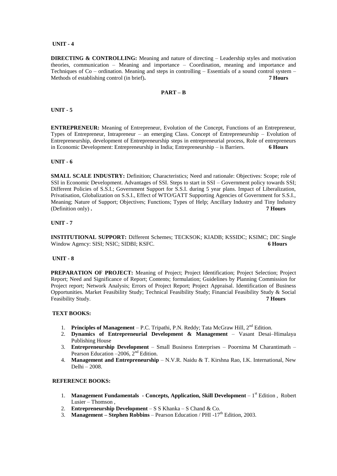## **UNIT - 4**

**DIRECTING & CONTROLLING:** Meaning and nature of directing – Leadership styles and motivation theories, communication – Meaning and importance – Coordination, meaning and importance and Techniques of Co – ordination. Meaning and steps in controlling – Essentials of a sound control system – Methods of establishing control (in brief)**. 7 Hours**

## **PART – B**

## **UNIT - 5**

**ENTREPRENEUR:** Meaning of Entrepreneur, Evolution of the Concept, Functions of an Entrepreneur, Types of Entrepreneur, Intrapreneur – an emerging Class. Concept of Entrepreneurship – Evolution of Entrepreneurship, development of Entrepreneurship steps in entrepreneurial process, Role of entrepreneurs in Economic Development: Entrepreneurship in India; Entrepreneurship – is Barriers. **6 Hours** 

## **UNIT - 6**

**SMALL SCALE INDUSTRY:** Definition; Characteristics; Need and rationale: Objectives: Scope; role of SSI in Economic Development. Advantages of SSI. Steps to start in SSI – Government policy towards SSI; Different Policies of S.S.I.; Government Support for S.S.I. during 5 year plans. Impact of Liberalization, Privatisation, Globalization on S.S.I., Effect of WTO/GATT Supporting Agencies of Government for S.S.I., Meaning; Nature of Support; Objectives; Functions; Types of Help; Ancillary Industry and Tiny Industry (Definition only) **. 7 Hours**

#### **UNIT - 7**

**INSTITUTIONAL SUPPORT:** Different Schemes; TECKSOK; KIADB; KSSIDC; KSIMC; DIC Single Window Agency: SISI; NSIC; SIDBI; KSFC. **6 Hours**

#### **UNIT - 8**

**PREPARATION OF PROJECT:** Meaning of Project; Project Identification; Project Selection; Project Report; Need and Significance of Report; Contents; formulation; Guidelines by Planning Commission for Project report; Network Analysis; Errors of Project Report; Project Appraisal. Identification of Business Opportunities. Market Feasibility Study; Technical Feasibility Study; Financial Feasibility Study & Social Feasibility Study. **7 Hours**

## **TEXT BOOKS:**

- 1. **Principles of Management** P.C. Tripathi, P.N. Reddy; Tata McGraw Hill, 2<sup>nd</sup> Edition.
- 2. **Dynamics of Entrepreneurial Development & Management** Vasant Desai–Himalaya Publishing House
- 3. **Entrepreneurship Development** Small Business Enterprises Poornima M Charantimath Pearson Education –2006,  $2<sup>nd</sup>$  Edition.
- 4. **Management and Entrepreneurship** N.V.R. Naidu & T. Kirshna Rao, I.K. International, New Delhi – 2008.

## **REFERENCE BOOKS:**

- 1. **Management Fundamentals - Concepts, Application, Skill Development** 1 st Edition , Robert Lusier – Thomson ,
- 2. **Entrepreneurship Development** S S Khanka S Chand & Co.
- 3. **Management Stephen Robbins** Pearson Education / PHI -17<sup>th</sup> Edition, 2003.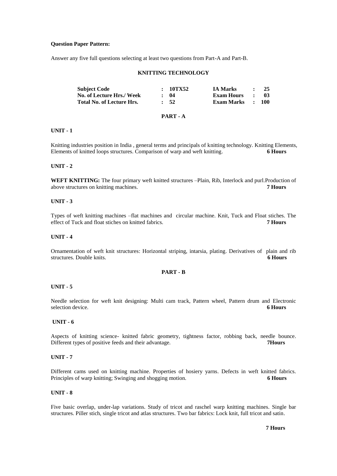#### **Question Paper Pattern:**

Answer any five full questions selecting at least two questions from Part-A and Part-B.

#### **KNITTING TECHNOLOGY**

| <b>Subject Code</b>              | : 10TX52         | <b>IA Marks</b>   |                     | 25    |
|----------------------------------|------------------|-------------------|---------------------|-------|
| No. of Lecture Hrs./ Week        | : 04             | Exam Hours        | $\mathbf{r}$        | -03   |
| <b>Total No. of Lecture Hrs.</b> | $\frac{1}{2}$ 52 | <b>Exam Marks</b> | $\sim$ 1.000 $\sim$ | - 100 |

## **PART - A**

#### **UNIT - 1**

Knitting industries position in India , general terms and principals of knitting technology. Knitting Elements, Elements of knitted loops structures. Comparison of warp and weft knitting. **6 Hours**

#### **UNIT - 2**

**WEFT KNITTING:** The four primary weft knitted structures –Plain, Rib, Interlock and purl.Production of above structures on knitting machines. **7 Hours**

#### **UNIT - 3**

Types of weft knitting machines –flat machines and circular machine. Knit, Tuck and Float stiches. The effect of Tuck and float stiches on knitted fabrics. **7 Hours**

#### **UNIT - 4**

Ornamentation of weft knit structures: Horizontal striping, intarsia, plating. Derivatives of plain and rib structures. Double knits. **6 Hours**

#### **PART - B**

#### **UNIT - 5**

Needle selection for weft knit designing: Multi cam track, Pattern wheel, Pattern drum and Electronic selection device. **6 Hours**

#### **UNIT - 6**

Aspects of knitting science- knitted fabric geometry, tightness factor, robbing back, needle bounce. Different types of positive feeds and their advantage. **7Hours** 

#### **UNIT - 7**

Different cams used on knitting machine. Properties of hosiery yarns. Defects in weft knitted fabrics. Principles of warp knitting; Swinging and shogging motion. **6 Hours** 

## **UNIT - 8**

Five basic overlap, under-lap variations. Study of tricot and raschel warp knitting machines. Single bar structures. Piller stich, single tricot and atlas structures. Two bar fabrics: Lock knit, full tricot and satin.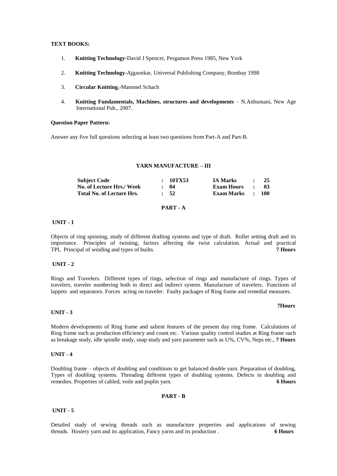## **TEXT BOOKS:**

- 1. **Knitting Technology-**David J Spencer, Pergamon Press 1985, New York
- 2. **Knitting Technology-**Ajgaonkar, Universal Publishing Company, Bombay 1998
- 3. **Circular Knitting**,-Mammel Schach
- 4. **Knitting Fundamentals, Machines, structures and developments** N.Anbumani, New Age International Pub., 2007.

#### **Question Paper Pattern:**

Answer any five full questions selecting at least two questions from Part-A and Part-B.

## **YARN MANUFACTURE – III**

| <b>Subject Code</b>       | : 10TX53   | <b>IA Marks</b>   | $\bullet$    | 25               |
|---------------------------|------------|-------------------|--------------|------------------|
| No. of Lecture Hrs./ Week | : 04       | <b>Exam Hours</b> | $\mathbf{r}$ | -03              |
| Total No. of Lecture Hrs. | $\cdot$ 52 | Exam Marks        |              | $\therefore$ 100 |

## **PART - A**

#### **UNIT - 1**

Objects of ring spinning, study of different drafting systems and type of draft. Roller setting draft and its importance. Principles of twisting, factors affecting the twist calculation. Actual and practical TPI, Principal of winding and types of builts. **7 Hours**

## **UNIT - 2**

Rings and Travelers. Different types of rings, selection of rings and manufacture of rings. Types of travelers, traveler numbering both in direct and indirect system. Manufacture of travelers. Functions of lappets and separators. Forces acting on traveler. Faulty packages of Ring frame and remedial measures.

#### **UNIT - 3**

Modern developments of Ring frame and salient features of the present day ring frame. Calculations of Ring frame such as production efficiency and count etc. Various quality control studies at Ring frame such as breakage study, idle spindle study, snap study and yarn parameter such as U%, CV%, Neps etc., **7 Hours**

#### **UNIT - 4**

Doubling frame – objects of doubling and conditions to get balanced double yarn. Preparation of doubling, Types of doubling systems. Threading different types of doubling systems. Defects in doubling and remedies. Properties of cabled, voile and poplin yarn. **6 Hours**

#### **PART - B**

#### **UNIT - 5**

Detailed study of sewing threads such as manufacture properties and applications of sewing threads. Hosiery yarn and its application, Fancy yarns and its production . **6 Hours**

#### **7Hours**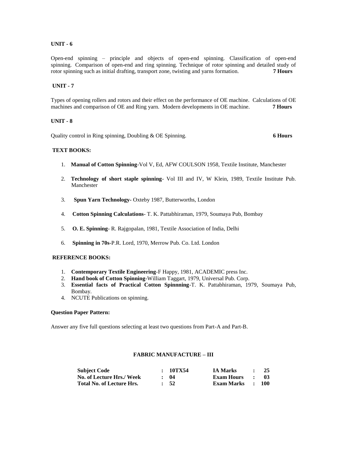## **UNIT - 6**

Open-end spinning – principle and objects of open-end spinning. Classification of open-end spinning. Comparison of open-end and ring spinning. Technique of rotor spinning and detailed study of rotor spinning such as initial drafting, transport zone, twisting and yarns formation. **7 Hours**

## **UNIT - 7**

Types of opening rollers and rotors and their effect on the performance of OE machine. Calculations of OE machines and comparison of OE and Ring yarn. Modern developments in OE machine. **7 Hours**

## **UNIT - 8**

Quality control in Ring spinning, Doubling & OE Spinning. **6 Hours**

## **TEXT BOOKS:**

- 1. **Manual of Cotton Spinning**-Vol V, Ed, AFW COULSON 1958, Textile Institute, Manchester
- 2. **Technology of short staple spinning** Vol III and IV, W Klein, 1989, Textile Institute Pub. Manchester
- 3. **Spun Yarn Technology-** Oxteby 1987, Butterworths, London
- 4. **Cotton Spinning Calculations** T. K. Pattabhiraman, 1979, Soumaya Pub, Bombay
- 5. **O. E. Spinning** R. Rajgopalan, 1981, Textile Association of India, Delhi
- 6. **Spinning in 70s**-P.R. Lord, 1970, Merrow Pub. Co. Ltd. London

## **REFERENCE BOOKS:**

- 1. **Contemporary Textile Engineering**-F Happy, 1981, ACADEMIC press Inc.
- 2. **Hand book of Cotton Spinning**-William Taggart, 1979, Universal Pub. Corp.
- 3. **Essential facts of Practical Cotton Spinnning**-T. K. Pattabhiraman, 1979, Soumaya Pub, Bombay.
- 4. NCUTE Publications on spinning.

#### **Question Paper Pattern:**

Answer any five full questions selecting at least two questions from Part-A and Part-B.

## **FABRIC MANUFACTURE – III**

| <b>Subject Code</b>              | :10TX54    | <b>IA Marks</b>   | $\sim$ $\sim$                     | - 25 |
|----------------------------------|------------|-------------------|-----------------------------------|------|
| No. of Lecture Hrs./ Week        | : 04       | <b>Exam Hours</b> | <b>Contract Contract Contract</b> | - 03 |
| <b>Total No. of Lecture Hrs.</b> | $\cdot$ 52 | Exam Marks : 100  |                                   |      |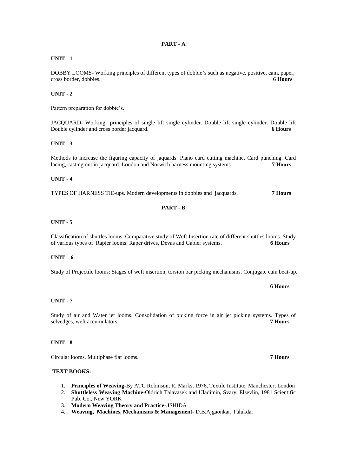## **PART - A**

## **UNIT - 1**

DOBBY LOOMS- Working principles of different types of dobbie's such as negative, positive, cam, paper, cross border, dobbies. **6 Hours**

## **UNIT - 2**

Pattern preparation for dobbie's.

JACQUARD- Working principles of single lift single cylinder. Double lift single cylinder. Double lift Double cylinder and cross border jacquard. **6 Hours**

## **UNIT - 3**

Methods to increase the figuring capacity of jaquards. Piano card cutting machine. Card punching. Card lacing, casting out in jacquard. London and Norwich harness mounting systems. **7 Hours**

## **UNIT - 4**

TYPES OF HARNESS TIE-ups. Modern developments in dobbies and jacquards. **7 Hours**

## **PART - B**

## **UNIT - 5**

Classification of shuttles looms. Comparative study of Weft Insertion rate of different shuttles looms. Study of various types of Rapier looms: Raper drives, Devas and Gabler systems. **6 Hours**

## **UNIT – 6**

Study of Projectile looms: Stages of weft insertion, torsion bar picking mechanisms, Conjugate cam beat-up.

## **6 Hours**

#### **UNIT - 7**

Study of air and Water jet looms. Consolidation of picking force in air jet picking systems. Types of selvedges, weft accumulators. **7 Hours**

#### **UNIT - 8**

Circular looms, Multiphase flat looms. **7 Hours**

## **TEXT BOOKS:**

- 1. **Principles of Weaving-**By ATC Robinson, R. Marks, 1976, Textile Institute, Manchester, London
- 2. **Shuttleless Weaving Machine**-Oldrich Talavasek and Uladimin, Svary, Elsevlin, 1981 Scientific
- Pub. Co., New YORK
- 3. **Modern Weaving Theory and Practice**-,ISHIDA
- 4. **Weaving, Machines, Mechanisms & Management-** D.B.Ajgaonkar, Talukdar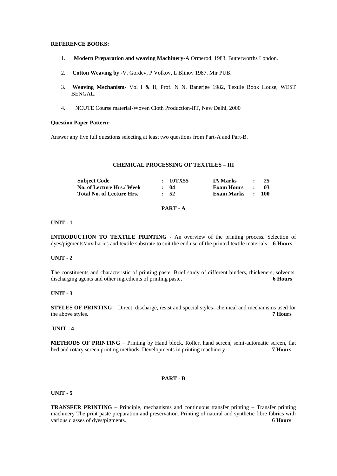#### **REFERENCE BOOKS:**

- 1. **Modern Preparation and weaving Machinery**-A Ormerod, 1983, Butterworths London.
- 2. **Cotton Weaving by** -V. Gordev, P Volkov, L Blinov 1987. Mir PUB.
- 3. **Weaving Mechanism-** Vol I & II, Prof. N N. Banerjee 1982, Textile Book House, WEST BENGAL.
- 4. NCUTE Course material-Woven Cloth Production-IIT, New Delhi, 2000

#### **Question Paper Pattern:**

Answer any five full questions selecting at least two questions from Part-A and Part-B.

## **CHEMICAL PROCESSING OF TEXTILES – III**

| <b>Subject Code</b>              | : 10TX55         | <b>IA Marks</b>   |               | 25               |
|----------------------------------|------------------|-------------------|---------------|------------------|
| No. of Lecture Hrs./ Week        | : 04             | <b>Exam Hours</b> | $\sim$ $\sim$ | -03              |
| <b>Total No. of Lecture Hrs.</b> | $\frac{1}{2}$ 52 | <b>Exam Marks</b> |               | $\therefore$ 100 |

## **PART - A**

## **UNIT - 1**

**INTRODUCTION TO TEXTILE PRINTING** - An overview of the printing process. Selection of dyes/pigments/auxiliaries and textile substrate to suit the end use of the printed textile materials. **6 Hours**

## **UNIT - 2**

The constituents and characteristic of printing paste. Brief study of different binders, thickeners, solvents, discharging agents and other ingredients of printing paste. **6 Hours**

## **UNIT - 3**

**STYLES OF PRINTING** – Direct, discharge, resist and special styles- chemical and mechanisms used for the above styles. **7 Hours**

#### **UNIT - 4**

**METHODS OF PRINTING** – Printing by Hand block, Roller, hand screen, semi-automatic screen, flat bed and rotary screen printing methods. Developments in printing machinery. **7 Hours**

## **PART - B**

**UNIT - 5**

**TRANSFER PRINTING** – Principle, mechanisms and continuous transfer printing – Transfer printing machinery The print paste preparation and preservation. Printing of natural and synthetic fibre fabrics with various classes of dyes/pigments. **6 Hours 6 Hours**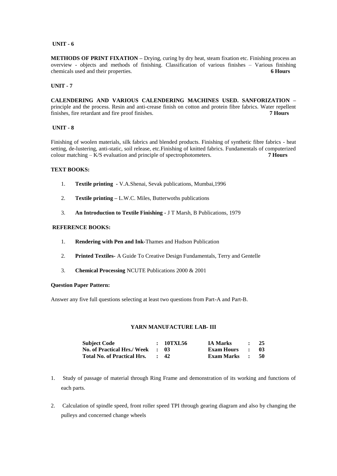## **UNIT - 6**

**METHODS OF PRINT FIXATION –** Drying, curing by dry heat, steam fixation etc. Finishing process an overview - objects and methods of finishing. Classification of various finishes – Various finishing chemicals used and their properties. **6 Hours**

#### **UNIT - 7**

**CALENDERING AND VARIOUS CALENDERING MACHINES USED. SANFORIZATION –** principle and the process. Resin and anti-crease finish on cotton and protein fibre fabrics. Water repellent finishes, fire retardant and fire proof finishes. **7 Hours**

## **UNIT - 8**

Finishing of woolen materials, silk fabrics and blended products. Finishing of synthetic fibre fabrics - heat setting, de-lustering, anti-static, soil release, etc.Finishing of knitted fabrics. Fundamentals of computerized colour matching – K/S evaluation and principle of spectrophotometers. **7 Hours**

## **TEXT BOOKS:**

- 1. **Textile printing -** V.A.Shenai, Sevak publications, Mumbai,1996
- 2. **Textile printing –** L.W.C. Miles, Butterwoths publications
- 3. **An Introduction to Textile Finishing -** J T Marsh, B Publications, 1979

## **REFERENCE BOOKS:**

- 1. **Rendering with Pen and Ink-**Thames and Hudson Publication
- 2. **Printed Textiles-** A Guide To Creative Design Fundamentals, Terry and Gentelle
- 3. **Chemical Processing** NCUTE Publications 2000 & 2001

#### **Question Paper Pattern:**

Answer any five full questions selecting at least two questions from Part-A and Part-B.

## **YARN MANUFACTURE LAB- III**

| <b>Subject Code</b>                | : 10TXL56       | <b>IA Marks</b>   | $\sim$ $\sim$       | 25   |
|------------------------------------|-----------------|-------------------|---------------------|------|
| No. of Practical Hrs./Week : 03    |                 | Exam Hours        | $\sim$ $\sim$       | -03- |
| <b>Total No. of Practical Hrs.</b> | $\therefore$ 42 | <b>Exam Marks</b> | $\sim$ 1.000 $\sim$ | - 50 |

- 1. Study of passage of material through Ring Frame and demonstration of its working and functions of each parts.
- 2. Calculation of spindle speed, front roller speed TPI through gearing diagram and also by changing the pulleys and concerned change wheels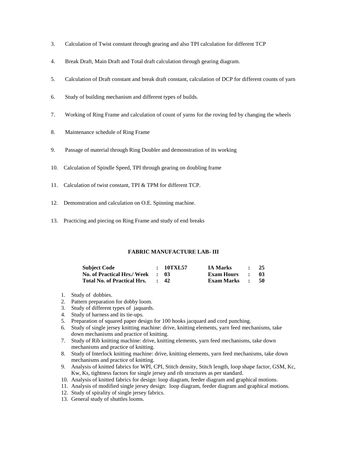- 3. Calculation of Twist constant through gearing and also TPI calculation for different TCP
- 4. Break Draft, Main Draft and Total draft calculation through gearing diagram.
- 5. Calculation of Draft constant and break draft constant, calculation of DCP for different counts of yarn
- 6. Study of building mechanism and different types of builds.
- 7. Working of Ring Frame and calculation of count of yarns for the roving fed by changing the wheels
- 8. Maintenance schedule of Ring Frame
- 9. Passage of material through Ring Doubler and demonstration of its working
- 10. Calculation of Spindle Speed, TPI through gearing on doubling frame
- 11. Calculation of twist constant, TPI & TPM for different TCP.
- 12. Demonstration and calculation on O.E. Spinning machine.
- 13. Practicing and piecing on Ring Frame and study of end breaks

## **FABRIC MANUFACTURE LAB- III**

| <b>Subject Code</b>                | : 10TXL57  | <b>IA Marks</b>   | $\cdot$ $\cdot$      | 25   |
|------------------------------------|------------|-------------------|----------------------|------|
| <b>No. of Practical Hrs./ Week</b> | - 18       | Exam Hours        | $\sim$ $\sim$        | -03  |
| <b>Total No. of Practical Hrs.</b> | $\cdot$ 42 | <b>Exam Marks</b> | $\sim$ $\sim$ $\sim$ | - 50 |

- 1. Study of dobbies.
- 2. Pattern preparation for dobby loom.
- 3. Study of different types of jaquards.<br>4. Study of harness and its tie-ups.
- Study of harness and its tie-ups.
- 5. Preparation of squared paper design for 100 hooks jacquard and cord punching.
- 6. Study of single jersey knitting machine: drive, knitting elements, yarn feed mechanisms, take down mechanisms and practice of knitting.
- 7. Study of Rib knitting machine: drive, knitting elements, yarn feed mechanisms, take down mechanisms and practice of knitting.
- 8. Study of Interlock knitting machine: drive, knitting elements, yarn feed mechanisms, take down mechanisms and practice of knitting.
- 9. Analysis of knitted fabrics for WPI, CPI, Stitch density, Stitch length, loop shape factor, GSM, Kc, Kw, Ks, tightness factors for single jersey and rib structures as per standard.
- 10. Analysis of knitted fabrics for design: loop diagram, feeder diagram and graphical motions.
- 11. Analysis of modified single jersey design: loop diagram, feeder diagram and graphical motions.
- 12. Study of spirality of single jersey fabrics.
- 13. General study of shuttles looms.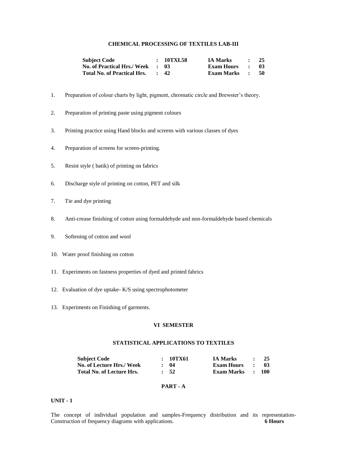## **CHEMICAL PROCESSING OF TEXTILES LAB-III**

| <b>Subject Code</b>                | : 10TXL58       | <b>IA Marks</b>   | <b>Contract Contract Contract</b> | - 25 |
|------------------------------------|-----------------|-------------------|-----------------------------------|------|
| <b>No. of Practical Hrs./ Week</b> | . . 03          | <b>Exam Hours</b> | $\sim$ $\sim$ $\sim$              | -03  |
| Total No. of Practical Hrs.        | $\therefore$ 42 | Exam Marks :      |                                   | - 50 |

- 1. Preparation of colour charts by light, pigment, chromatic circle and Brewster's theory.
- 2. Preparation of printing paste using pigment colours
- 3. Printing practice using Hand blocks and screens with various classes of dyes
- 4. Preparation of screens for screen-printing.
- 5. Resist style ( batik) of printing on fabrics
- 6. Discharge style of printing on cotton, PET and silk
- 7. Tie and dye printing
- 8. Anti-crease finishing of cotton using formaldehyde and non-formaldehyde based chemicals
- 9. Softening of cotton and wool
- 10. Water proof finishing on cotton
- 11. Experiments on fastness properties of dyed and printed fabrics
- 12. Evaluation of dye uptake- K/S using spectrophotometer
- 13. Experiments on Finishing of garments.

## **VI SEMESTER**

## **STATISTICAL APPLICATIONS TO TEXTILES**

| <b>Subject Code</b>              | : 10TX61        | <b>IA Marks</b>   |              | - 25             |
|----------------------------------|-----------------|-------------------|--------------|------------------|
| No. of Lecture Hrs./ Week        | : 04            | <b>Exam Hours</b> | $\mathbf{r}$ | - 03             |
| <b>Total No. of Lecture Hrs.</b> | $\therefore$ 52 | Exam Marks        |              | $\therefore$ 100 |

## **PART - A**

## **UNIT - 1**

The concept of individual population and samples-Frequency distribution and its representation-Construction of frequency diagrams with applications. **6 Hours**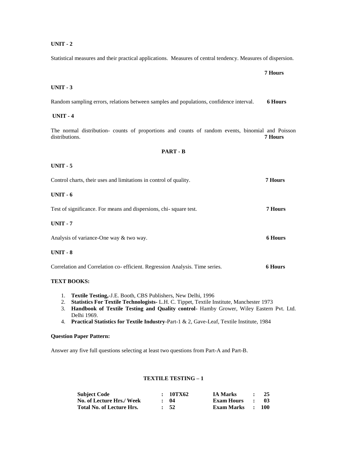Statistical measures and their practical applications. Measures of central tendency. Measures of dispersion.

 **7 Hours** 

# **UNIT - 3**

Random sampling errors, relations between samples and populations, confidence interval. **6 Hours**

# **UNIT - 4**

The normal distribution- counts of proportions and counts of random events, binomial and Poisson distributions. **7 Hours** 

# **PART - B**

## **UNIT - 5**

| Control charts, their uses and limitations in control of quality.           | 7 Hours        |
|-----------------------------------------------------------------------------|----------------|
| $UNIT - 6$                                                                  |                |
| Test of significance. For means and dispersions, chi-square test.           | 7 Hours        |
| $UNIT - 7$                                                                  |                |
| Analysis of variance-One way & two way.                                     | <b>6 Hours</b> |
| $UNIT - 8$                                                                  |                |
| Correlation and Correlation co-efficient. Regression Analysis. Time series. | 6 Hours        |

# **TEXT BOOKS:**

- 1. **Textile Testing,**-J.E. Booth, CBS Publishers, New Delhi, 1996
- 2. **Statistics For Textile Technologists-** L.H. C. Tippet, Textile Institute, Manchester 1973
- 3. **Handbook of Textile Testing and Quality control** Hamby Grower, Wiley Eastern Pvt. Ltd. Delhi 1969.
- 4. **Practical Statistics for Textile Industry**-Part-1 & 2, Gave-Leaf, Textile Institute, 1984

### **Question Paper Pattern:**

Answer any five full questions selecting at least two questions from Part-A and Part-B.

# **TEXTILE TESTING – 1**

| <b>Subject Code</b>       | : 10TX62         | <b>IA Marks</b>   |                              | 25         |
|---------------------------|------------------|-------------------|------------------------------|------------|
| No. of Lecture Hrs./ Week | $\cdot$ 04       | <b>Exam Hours</b> | $\cdot$                      | -03-       |
| Total No. of Lecture Hrs. | $\frac{1}{2}$ 52 | <b>Exam Marks</b> | $\sim$ 100 $\sim$ 100 $\sim$ | <b>100</b> |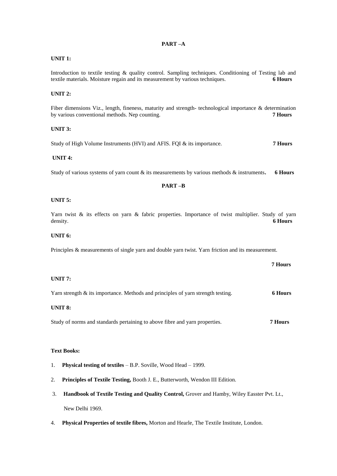# **PART –A**

# **UNIT 1:**

Introduction to textile testing & quality control. Sampling techniques. Conditioning of Testing lab and textile materials. Moisture regain and its measurement by various techniques. **6 Hours**

# **UNIT 2:**

Fiber dimensions Viz., length, fineness, maturity and strength- technological importance & determination by various conventional methods. Nep counting. **7 Hours**

# **UNIT 3:**

Study of High Volume Instruments (HVI) and AFIS. FQI & its importance. **7 Hours**

# **UNIT 4:**

Study of various systems of yarn count & its measurements by various methods & instruments**. 6 Hours**

## **PART –B**

#### **UNIT 5:**

Yarn twist & its effects on yarn & fabric properties. Importance of twist multiplier. Study of yarn density. **6 Hours**

## **UNIT 6:**

Principles & measurements of single yarn and double yarn twist. Yarn friction and its measurement.

# **UNIT 7:**

Yarn strength & its importance. Methods and principles of yarn strength testing. **6 Hours**

**7 Hours**

# **UNIT 8:**

Study of norms and standards pertaining to above fibre and yarn properties. **7 Hours**

### **Text Books:**

- 1. **Physical testing of textiles** B.P. Soville, Wood Head 1999.
- 2. **Principles of Textile Testing,** Booth J. E., Butterworth, Wendon III Edition.
- 3. **Handbook of Textile Testing and Quality Control,** Grover and Hamby, Wiley Easster Pvt. Lt., New Delhi 1969.
- 4. **Physical Properties of textile fibres,** Morton and Hearle, The Textile Institute, London.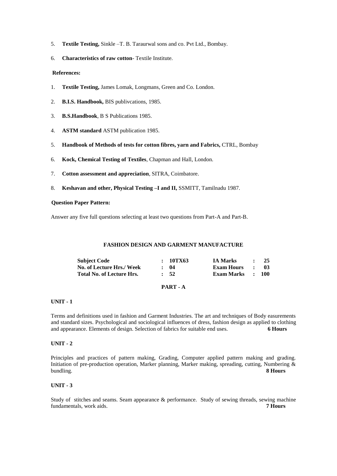- 5. **Textile Testing,** Sinkle –T. B. Taraurwal sons and co. Pvt Ltd., Bombay.
- 6. **Characteristics of raw cotton** Textile Institute.

## **References:**

- 1. **Textile Testing,** James Lomak, Longmans, Green and Co. London.
- 2. **B.I.S. Handbook,** BIS publivcations, 1985.
- 3. **B.S.Handbook**, B S Publications 1985.
- 4. **ASTM standard** ASTM publication 1985.
- 5. **Handbook of Methods of tests for cotton fibres, yarn and Fabrics,** CTRL, Bombay
- 6. **Kock, Chemical Testing of Textiles**, Chapman and Hall, London.
- 7. **Cotton assessment and appreciation**, SITRA, Coimbatore.
- 8. **Keshavan and other, Physical Testing –I and II,** SSMITT, Tamilnadu 1987.

## **Question Paper Pattern:**

Answer any five full questions selecting at least two questions from Part-A and Part-B.

# **FASHION DESIGN AND GARMENT MANUFACTURE**

| <b>Subject Code</b>              | : 10TX63   | <b>IA Marks</b>                       | $\sim$ | -25  |
|----------------------------------|------------|---------------------------------------|--------|------|
| No. of Lecture Hrs./ Week        | $\cdot$ 04 | <b>Exam Hours</b><br>the contract and |        | - 03 |
| <b>Total No. of Lecture Hrs.</b> | $\cdot$ 52 | Exam Marks : 100                      |        |      |

# **PART - A**

# **UNIT - 1**

Terms and definitions used in fashion and Garment Industries. The art and techniques of Body easurements and standard sizes. Psychological and sociological influences of dress, fashion design as applied to clothing and appearance. Elements of design. Selection of fabrics for suitable end uses. **6 Hours**

# **UNIT - 2**

Principles and practices of pattern making, Grading, Computer applied pattern making and grading. Initiation of pre-production operation, Marker planning, Marker making, spreading, cutting, Numbering & bundling. **8 Hours**

# **UNIT - 3**

Study of stitches and seams. Seam appearance & performance. Study of sewing threads, sewing machine fundamentals, work aids. **7 Hours**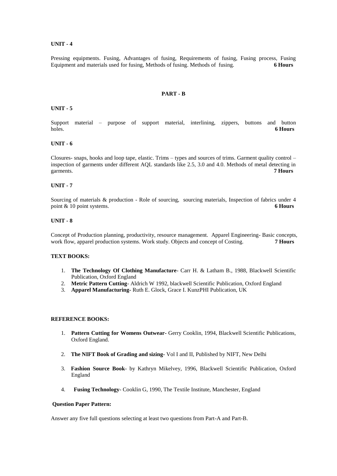Pressing equipments. Fusing, Advantages of fusing, Requirements of fusing, Fusing process, Fusing Equipment and materials used for fusing, Methods of fusing. Methods of fusing. **6 Hours**

#### **PART - B**

#### **UNIT - 5**

Support material – purpose of support material, interlining, zippers, buttons and button holes. **6 Hours**

#### **UNIT - 6**

Closures- snaps, hooks and loop tape, elastic. Trims – types and sources of trims. Garment quality control – inspection of garments under different AQL standards like 2.5, 3.0 and 4.0. Methods of metal detecting in garments. **7 Hours**

#### **UNIT - 7**

Sourcing of materials & production - Role of sourcing, sourcing materials, Inspection of fabrics under 4 point & 10 point systems. **6 Hours**

#### **UNIT - 8**

Concept of Production planning, productivity, resource management. Apparel Engineering- Basic concepts, work flow, apparel production systems. Work study. Objects and concept of Costing. **7 Hours**

# **TEXT BOOKS:**

- 1. **The Technology Of Clothing Manufacture** Carr H. & Latham B., 1988, Blackwell Scientific Publication, Oxford England
- 2. **Metric Pattern Cutting** Aldrich W 1992, blackwell Scientific Publication, Oxford England
- 3. **Apparel Manufacturing-** Ruth E. Glock, Grace I. KunzPHI Publication, UK

#### **REFERENCE BOOKS:**

- 1. **Pattern Cutting for Womens Outwear-** Gerry Cooklin, 1994, Blackwell Scientific Publications, Oxford England.
- 2. **The NIFT Book of Grading and sizing-** Vol I and II, Published by NIFT, New Delhi
- 3. **Fashion Source Book** by Kathryn Mikelvey, 1996, Blackwell Scientific Publication, Oxford England
- 4. **Fusing Technology** Cooklin G, 1990, The Textile Institute, Manchester, England

#### **Question Paper Pattern:**

Answer any five full questions selecting at least two questions from Part-A and Part-B.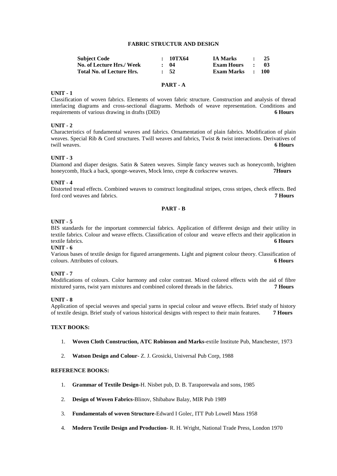# **FABRIC STRUCTUR AND DESIGN**

| <b>Subject Code</b>              | : 10TX64         | <b>IA Marks</b>   |              | -25              |
|----------------------------------|------------------|-------------------|--------------|------------------|
| No. of Lecture Hrs./ Week        | $\cdot$ 04       | <b>Exam Hours</b> | $\mathbf{r}$ | -03              |
| <b>Total No. of Lecture Hrs.</b> | $\frac{1}{2}$ 52 | Exam Marks        |              | $\therefore$ 100 |

# **PART - A**

#### **UNIT - 1**

Classification of woven fabrics. Elements of woven fabric structure. Construction and analysis of thread interlacing diagrams and cross-sectional diagrams. Methods of weave representation. Conditions and requirements of various drawing in drafts (DID) **6 Hours**

## **UNIT - 2**

Characteristics of fundamental weaves and fabrics. Ornamentation of plain fabrics. Modification of plain weaves. Special Rib & Cord structures. Twill weaves and fabrics, Twist & twist interactions. Derivatives of twill weaves. **6 Hours**

# **UNIT - 3**

Diamond and diaper designs. Satin & Sateen weaves. Simple fancy weaves such as honeycomb, brighten honeycomb, Huck a back, sponge-weaves, Mock leno, crepe & corkscrew weaves. **7Hours** 

#### **UNIT - 4**

Distorted tread effects. Combined weaves to construct longitudinal stripes, cross stripes, check effects. Bed ford cord weaves and fabrics. **7 Hours**

# **PART - B**

#### **UNIT - 5**

BIS standards for the important commercial fabrics. Application of different design and their utility in textile fabrics. Colour and weave effects. Classification of colour and weave effects and their application in textile fabrics. **6 Hours**

## **UNIT - 6**

Various bases of textile design for figured arrangements. Light and pigment colour theory. Classification of colours. Attributes of colours. **6 Hours**

#### **UNIT - 7**

Modifications of colours. Color harmony and color contrast. Mixed colored effects with the aid of fibre mixtured yarns, twist yarn mixtures and combined colored threads in the fabrics. **7 Hours**

# **UNIT - 8**

Application of special weaves and special yarns in special colour and weave effects. Brief study of history of textile design. Brief study of various historical designs with respect to their main features. **7 Hours**

## **TEXT BOOKS:**

- 1. **Woven Cloth Construction, ATC Robinson and Marks-**extile Institute Pub, Manchester, 1973
- 2. **Watson Design and Colour** Z. J. Grosicki, Universal Pub Corp, 1988

# **REFERENCE BOOKS:**

- 1. **Grammar of Textile Design**-H. Nisbet pub, D. B. Taraporewala and sons, 1985
- 2. **Design of Woven Fabrics**-Blinov, Shibabaw Balay, MIR Pub 1989
- 3. **Fundamentals of woven Structure**-Edward I Golec, ITT Pub Lowell Mass 1958
- 4. **Modern Textile Design and Production** R. H. Wright, National Trade Press, London 1970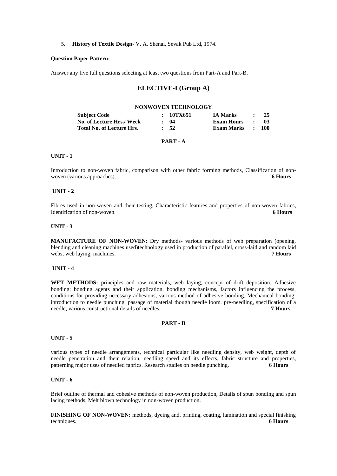#### 5. **History of Textile Design**- V. A. Shenai, Sevak Pub Ltd, 1974.

# **Question Paper Pattern:**

Answer any five full questions selecting at least two questions from Part-A and Part-B.

# **ELECTIVE-I (Group A)**

#### **NONWOVEN TECHNOLOGY**

| Subject Code                     | : 10TX651  | <b>IA Marks</b> | $\cdot$             | 25               |
|----------------------------------|------------|-----------------|---------------------|------------------|
| <b>No. of Lecture Hrs./ Week</b> | $\cdot$ 04 | Exam Hours      | $\sim$ 1.000 $\sim$ | -03              |
| <b>Total No. of Lecture Hrs.</b> | $\cdot$ 52 | Exam Marks      |                     | $\therefore$ 100 |

#### **PART - A**

# **UNIT - 1**

Introduction to non-woven fabric, comparison with other fabric forming methods, Classification of nonwoven (various approaches). **6 Hours**

#### **UNIT - 2**

Fibres used in non-woven and their testing, Characteristic features and properties of non-woven fabrics, Identification of non-woven. **6 Hours**

#### **UNIT - 3**

**MANUFACTURE OF NON-WOVEN**: Dry methods- various methods of web preparation (opening, blending and cleaning machines used)technology used in production of parallel, cross-laid and random laid webs, web laying, machines. **7 Hours 7 Hours** 

#### **UNIT - 4**

**WET METHODS:** principles and raw materials, web laying, concept of drift deposition. Adhesive bonding: bonding agents and their application, bonding mechanisms, factors influencing the process, conditions for providing necessary adhesions, various method of adhesive bonding. Mechanical bonding: introduction to needle punching, passage of material though needle loom, pre-needling, specification of a needle, various constructional details of needles. **7 Hours**

#### **PART - B**

#### **UNIT - 5**

various types of needle arrangements, technical particular like needling density, web weight, depth of needle penetration and their relation, needling speed and its effects, fabric structure and properties, patterning major uses of needled fabrics. Research studies on needle punching. **6 Hours**

# **UNIT - 6**

Brief outline of thermal and cohesive methods of non-woven production, Details of spun bonding and spun lacing methods, Melt blown technology in non-woven production.

**FINISHING OF NON-WOVEN:** methods, dyeing and, printing, coating, lamination and special finishing techniques. **6 Hours**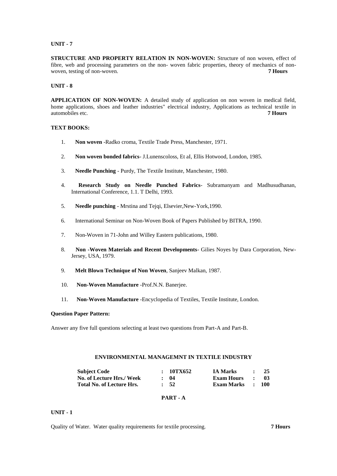**STRUCTURE AND PROPERTY RELATION IN NON-WOVEN:** Structure of non woven, effect of fibre, web and processing parameters on the non- woven fabric properties, theory of mechanics of nonwoven, testing of non-woven. **7 Hours**

#### **UNIT - 8**

**APPLICATION OF NON-WOVEN:** A detailed study of application on non woven in medical field, home applications, shoes and leather industries" electrical industry, Applications as technical textile in automobiles etc. **7 Hours**

# **TEXT BOOKS:**

- 1. **Non woven** -Radko croma, Textile Trade Press, Manchester, 1971.
- 2. **Non woven bonded fabrics** J.Lunenscoloss, Et aI, Ellis Hotwood, London, 1985.
- 3. **Needle Punching** Purdy, The Textile Institute, Manchester, 1980.
- 4. **Research Study on Needle Punched Fabrics** Subramanyam and Madhusudhanan, International Conference, 1.1. T Delhi, 1993.
- 5. **Needle punching** Mrstina and Tejqi, Elsevier,New-York,1990.
- 6. International Seminar on Non-Woven Book of Papers Published by BITRA, 1990.
- 7. Non-Woven in 71-John and Willey Eastern publications, 1980.
- 8. **Non -Woven Materials and Recent Developments** Gilies Noyes by Dara Corporation, New-Jersey, USA, 1979.
- 9. **Melt Blown Technique of Non Woven**, Sanjeev Malkan, 1987.
- 10. **Non-Woven Manufacture** -Prof.N.N. Banerjee.
- 11. **Non-Woven Manufacture** -Encyclopedia of Textiles, Textile Institute, London.

#### **Question Paper Pattern:**

Answer any five full questions selecting at least two questions from Part-A and Part-B.

# **ENVIRONMENTAL MANAGEMNT IN TEXTILE INDUSTRY**

| <b>Subject Code</b>              | : 10TX652  | <b>IA Marks</b>   | $\bullet$           | -25              |
|----------------------------------|------------|-------------------|---------------------|------------------|
| No. of Lecture Hrs./ Week        | $\cdot$ 04 | <b>Exam Hours</b> | $\sim$ 1.000 $\sim$ | - 03             |
| <b>Total No. of Lecture Hrs.</b> | $\cdot$ 52 | Exam Marks        |                     | $\therefore$ 100 |

#### **PART - A**

# **UNIT - 1**

Quality of Water. Water quality requirements for textile processing. **7 Hours**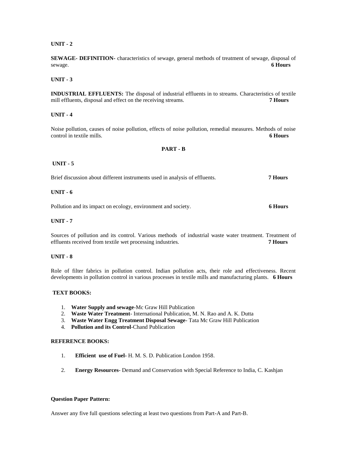**SEWAGE- DEFINITION-** characteristics of sewage, general methods of treatment of sewage, disposal of sewage.<br>6 Hours sewage. **6 Hours**

#### **UNIT - 3**

**INDUSTRIAL EFFLUENTS:** The disposal of industrial effluents in to streams. Characteristics of textile mill effluents, disposal and effect on the receiving streams. **7 Hours**

#### **UNIT - 4**

Noise pollution, causes of noise pollution, effects of noise pollution, remedial measures. Methods of noise control in textile mills. **6 Hours**

#### **PART - B**

#### **UNIT - 5**

Brief discussion about different instruments used in analysis of effluents. **7 Hours**

## **UNIT - 6**

Pollution and its impact on ecology, environment and society. **6 Hours**

# **UNIT - 7**

Sources of pollution and its control. Various methods of industrial waste water treatment. Treatment of effluents received from textile wet processing industries. **7 Hours**

# **UNIT - 8**

Role of filter fabrics in pollution control. Indian pollution acts, their role and effectiveness. Recent developments in pollution control in various processes in textile mills and manufacturing plants. **6 Hours**

#### **TEXT BOOKS:**

- 1. **Water Supply and sewage**-Mc Graw Hill Publication
- 2. **Waste Water Treatment** International Publication, M. N. Rao and A. K. Dutta
- 3. **Waste Water Engg Treatment Disposal Sewage** Tata Mc Graw Hill Publication
- 4. **Pollution and its Control**-Chand Publication

## **REFERENCE BOOKS:**

- 1. **Efficient use of Fuel-** H. M. S. D. Publication London 1958.
- 2. **Energy Resources** Demand and Conservation with Special Reference to India, C. Kashjan

#### **Question Paper Pattern:**

Answer any five full questions selecting at least two questions from Part-A and Part-B.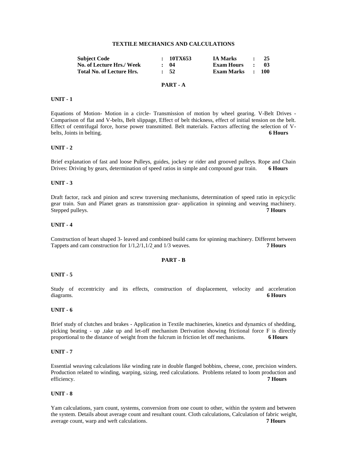# **TEXTILE MECHANICS AND CALCULATIONS**

| <b>Subject Code</b>              | : 10TX653  | <b>IA Marks</b>   |              | -25              |
|----------------------------------|------------|-------------------|--------------|------------------|
| No. of Lecture Hrs./ Week        | $\cdot$ 04 | <b>Exam Hours</b> | $\mathbf{r}$ | -03              |
| <b>Total No. of Lecture Hrs.</b> | $\cdot$ 52 | <b>Exam Marks</b> |              | $\therefore$ 100 |
|                                  |            |                   |              |                  |

# **PART - A**

#### **UNIT - 1**

Equations of Motion- Motion in a circle- Transmission of motion by wheel gearing. V-Belt Drives - Comparison of flat and V-belts, Belt slippage, Effect of belt thickness, effect of initial tension on the belt. Effect of centrifugal force, horse power transmitted. Belt materials. Factors affecting the selection of Vbelts, Joints in belting. **6 Hours**

#### **UNIT - 2**

Brief explanation of fast and loose Pulleys, guides, jockey or rider and grooved pulleys. Rope and Chain Drives: Driving by gears, determination of speed ratios in simple and compound gear train. **6 Hours**

# **UNIT - 3**

Draft factor, rack and pinion and screw traversing mechanisms, determination of speed ratio in epicyclic gear train. Sun and Planet gears as transmission gear- application in spinning and weaving machinery. Stepped pulleys. **7 Hours 7 Hours** 

# **UNIT - 4**

Construction of heart shaped 3- leaved and combined build cams for spinning machinery. Different between Tappets and cam construction for 1/1,2/1,1/2 and 1/3 weaves. **7 Hours**

#### **PART - B**

#### **UNIT - 5**

Study of eccentricity and its effects, construction of displacement, velocity and acceleration diagrams. **6 Hours**

#### **UNIT - 6**

Brief study of clutches and brakes - Application in Textile machineries, kinetics and dynamics of shedding, picking beating - up ,take up and let-off mechanism Derivation showing frictional force F is directly proportional to the distance of weight from the fulcrum in friction let off mechanisms. **6 Hours**

## **UNIT - 7**

Essential weaving calculations like winding rate in double flanged bobbins, cheese, cone, precision winders. Production related to winding, warping, sizing, reed calculations. Problems related to loom production and efficiency. **7 Hours**

#### **UNIT - 8**

Yam calculations, yarn count, systems, conversion from one count to other, within the system and between the system. Details about average count and resultant count. Cloth calculations, Calculation of fabric weight, average count, warp and weft calculations. **7 Hours**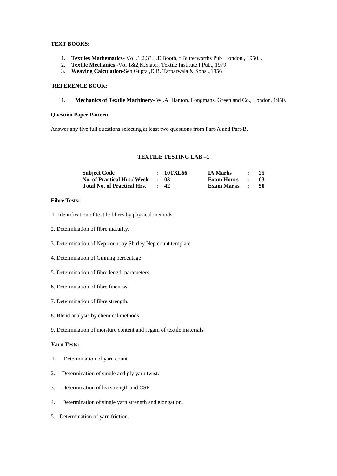# **TEXT BOOKS:**

- 1. **Textiles Mathematics** Vol .1,2,3" J .E.Booth, f Butterworths Pub London., 1950. .
- 2. **Textile Mechanics** -Vol 1&2,K.Slater, Textile Institute I Pub., 1979'
- 3. **Weaving Calculation-**Sen Gupta ,D.B. Tarparwala & Sons .,1956

## **REFERENCE BOOK:**

1. **Mechanics of Textile Machinery**- W .A. Hanton, Longmans, Green and Co., London, 1950.

## **Question Paper Pattern:**

Answer any five full questions selecting at least two questions from Part-A and Part-B.

## **TEXTILE TESTING LAB –1**

| <b>Subject Code</b>                | : 10TXL66       | <b>IA Marks</b>   | $\bullet$           | 25   |
|------------------------------------|-----------------|-------------------|---------------------|------|
| <b>No. of Practical Hrs./ Week</b> | - 18            | <b>Exam Hours</b> | $\sim$              | -03- |
| <b>Total No. of Practical Hrs.</b> | $\therefore$ 42 | <b>Exam Marks</b> | $\sim$ 1.000 $\sim$ | - 50 |

# **Fibre Tests:**

- 1. Identification of textile fibres by physical methods.
- 2. Determination of fibre maturity.
- 3. Determination of Nep count by Shirley Nep count template
- 4. Determination of Ginning percentage
- 5. Determination of fibre length parameters.
- 6. Determination of fibre fineness.
- 7. Determination of fibre strength.
- 8. Blend analysis by chemical methods.
- 9. Determination of moisture content and regain of textile materials.

# **Yarn Tests:**

- 1. Determination of yarn count
- 2. Determination of single and ply yarn twist.
- 3. Determination of lea strength and CSP.
- 4. Determination of single yarn strength and elongation.
- 5. Determination of yarn friction.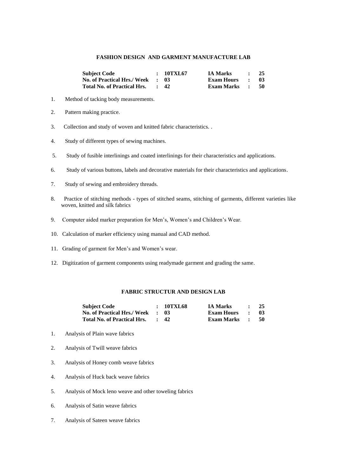## **FASHION DESIGN AND GARMENT MANUFACTURE LAB**

| <b>Subject Code</b>                | : 10TXL67  | <b>IA Marks</b> | <b>Contract Contract Contract Contract</b> | 25   |
|------------------------------------|------------|-----------------|--------------------------------------------|------|
| <b>No. of Practical Hrs./ Week</b> | . 03       | Exam Hours      | $\sim$ $\sim$ $\sim$                       | - 03 |
| <b>Total No. of Practical Hrs.</b> | $\cdot$ 42 | Exam Marks      | $\sim$ 1.000 $\sim$                        | -50  |

- 1. Method of tacking body measurements.
- 2. Pattern making practice.
- 3. Collection and study of woven and knitted fabric characteristics. .
- 4. Study of different types of sewing machines.
- 5. Study of fusible interlinings and coated interlinings for their characteristics and applications.
- 6. Study of various buttons, labels and decorative materials for their characteristics and applications.
- 7. Study of sewing and embroidery threads.
- 8. Practice of stitching methods types of stitched seams, stitching of garments, different varieties like woven, knitted and silk fabrics
- 9. Computer aided marker preparation for Men's, Women's and Children's Wear.
- 10. Calculation of marker efficiency using manual and CAD method.
- 11. Grading of garment for Men's and Women's wear.
- 12. Digitization of garment components using readymade garment and grading the same.

# **FABRIC STRUCTUR AND DESIGN LAB**

| <b>Subject Code</b>                | : 10TXL68       | <b>IA Marks</b>   | $\bullet$ $\bullet$ | - 25 |
|------------------------------------|-----------------|-------------------|---------------------|------|
| <b>No. of Practical Hrs./ Week</b> | . 03            | <b>Exam Hours</b> | $\sim$ $\sim$       | -03  |
| <b>Total No. of Practical Hrs.</b> | $\therefore$ 42 | <b>Exam Marks</b> | $\sim$ 1.000 $\sim$ | - 50 |

- 1. Analysis of Plain wave fabrics
- 2. Analysis of Twill weave fabrics
- 3. Analysis of Honey comb weave fabrics
- 4. Analysis of Huck back weave fabrics
- 5. Analysis of Mock leno weave and other toweling fabrics
- 6. Analysis of Satin weave fabrics
- 7. Analysis of Sateen weave fabrics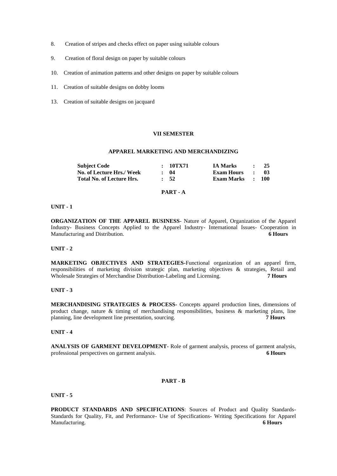- 8. Creation of stripes and checks effect on paper using suitable colours
- 9. Creation of floral design on paper by suitable colours
- 10. Creation of animation patterns and other designs on paper by suitable colours
- 11. Creation of suitable designs on dobby looms
- 13. Creation of suitable designs on jacquard

## **VII SEMESTER**

# **APPAREL MARKETING AND MERCHANDIZING**

| <b>Subject Code</b>              | : 10TX71         | <b>IA Marks</b>   | $\bullet$    | 25               |
|----------------------------------|------------------|-------------------|--------------|------------------|
| No. of Lecture Hrs./ Week        | : 04             | <b>Exam Hours</b> | $\mathbf{r}$ | -03              |
| <b>Total No. of Lecture Hrs.</b> | $\frac{1}{2}$ 52 | <b>Exam Marks</b> |              | $\therefore$ 100 |

## **PART - A**

#### **UNIT - 1**

**ORGANIZATION OF THE APPAREL BUSINESS**- Nature of Apparel, Organization of the Apparel Industry- Business Concepts Applied to the Apparel Industry- International Issues- Cooperation in Manufacturing and Distribution. **6 Hours**

#### **UNIT - 2**

**MARKETING OBJECTIVES AND STRATEGIES-**Functional organization of an apparel firm, responsibilities of marketing division strategic plan, marketing objectives  $\&$  strategies, Retail and Wholesale Strategies of Merchandise Distribution-Labeling and Licensing. 7 Hours Wholesale Strategies of Merchandise Distribution-Labeling and Licensing.

#### **UNIT - 3**

**MERCHANDISING STRATEGIES & PROCESS-** Concepts apparel production lines, dimensions of product change, nature  $\&$  timing of merchandising responsibilities, business  $\&$  marketing plans, line planning, line development line presentation, sourcing. **7 Hours**

# **UNIT - 4**

**ANALYSIS OF GARMENT DEVELOPMENT**- Role of garment analysis, process of garment analysis, professional perspectives on garment analysis. **6 Hours**

# **PART - B**

#### **UNIT - 5**

**PRODUCT STANDARDS AND SPECIFICATIONS**: Sources of Product and Quality Standards-Standards for Quality, Fit, and Performance- Use of Specifications- Writing Specifications for Apparel Manufacturing. **6 Hours**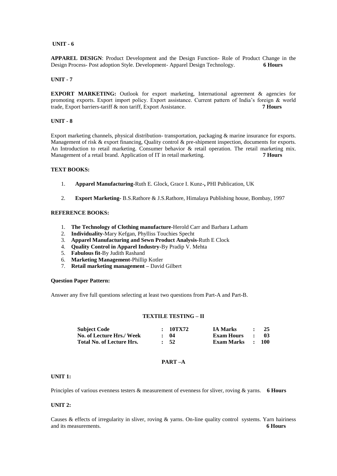**APPAREL DESIGN:** Product Development and the Design Function- Role of Product Change in the Design Process- Post adoption Style. Development- Apparel Design Technology. Design Process- Post adoption Style. Development- Apparel Design Technology.

#### **UNIT - 7**

**EXPORT MARKETING:** Outlook for export marketing, International agreement & agencies for promoting exports. Export import policy. Export assistance. Current pattern of India's foreign & world trade, Export barriers-tariff & non tariff, Export Assistance. **7 Hours**

# **UNIT - 8**

Export marketing channels, physical distribution- transportation, packaging & marine insurance for exports. Management of risk & export financing, Quality control & pre-shipment inspection, documents for exports. An Introduction to retail marketing. Consumer behavior  $\&$  retail operation. The retail marketing mix. Management of a retail brand. Application of IT in retail marketing. **7 Hours**

# **TEXT BOOKS:**

- 1. **Apparel Manufacturing-**Ruth E. Glock, Grace I. Kunz-**,** PHI Publication, UK
- 2. **Export Marketing-** B.S.Rathore & J.S.Rathore, Himalaya Publishing house, Bombay, 1997

# **REFERENCE BOOKS:**

- 1. **The Technology of Clothing manufacture**-Herold Carr and Barbara Latham
- 2. **Individuality**-Mary Kefgan, Phylliss Touchies Specht
- 3. **Apparel Manufacturing and Sewn Product Analysis**-Ruth E Clock
- 4. **Quality Control in Apparel Industry-**By Pradip V. Mehta
- 5. **Fabulous fit**-By Judith Rashand
- 6. **Marketing Management-**Phillip Kotler
- 7. **Retail marketing management –** David Gilbert

#### **Question Paper Pattern:**

Answer any five full questions selecting at least two questions from Part-A and Part-B.

#### **TEXTILE TESTING – II**

| <b>Subject Code</b>              | : 10TX72   | <b>IA Marks</b>                           | $\sim$ $\sim$ | - 25 |
|----------------------------------|------------|-------------------------------------------|---------------|------|
| No. of Lecture Hrs./ Week        | $\cdot$ 04 | <b>Exam Hours</b><br>$\sim$ $\sim$ $\sim$ |               | - 03 |
| <b>Total No. of Lecture Hrs.</b> | $\cdot$ 52 | Exam Marks : 100                          |               |      |

#### **PART –A**

#### **UNIT 1:**

Principles of various evenness testers & measurement of evenness for sliver, roving & yarns. **6 Hours**

#### **UNIT 2:**

Causes & effects of irregularity in sliver, roving & yarns. On-line quality control systems. Yarn hairiness and its measurements. **6 Hours**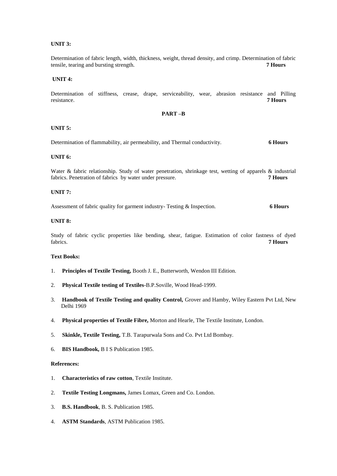# **UNIT 3:**

Determination of fabric length, width, thickness, weight, thread density, and crimp. Determination of fabric tensile, tearing and bursting strength. tensile, tearing and bursting strength.

## **UNIT 4:**

Determination of stiffness, crease, drape, serviceability, wear, abrasion resistance and Pilling resistance. **7 Hours**

# **PART –B**

## **UNIT 5:**

Determination of flammability, air permeability, and Thermal conductivity. **6 Hours**

#### **UNIT 6:**

Water & fabric relationship. Study of water penetration, shrinkage test, wetting of apparels & industrial fabrics. Penetration of fabrics by water under pressure. **7 Hours**

## **UNIT 7:**

Assessment of fabric quality for garment industry- Testing & Inspection. **6 Hours**

# **UNIT 8:**

Study of fabric cyclic properties like bending, shear, fatigue. Estimation of color fastness of dyed fabrics. **7 Hours**

# **Text Books:**

- 1. **Principles of Textile Testing,** Booth J. E., Butterworth, Wendon III Edition.
- 2. **Physical Textile testing of Textiles**-B.P.Soville, Wood Head-1999.
- 3. **Handbook of Textile Testing and quality Control,** Grover and Hamby, Wiley Eastern Pvt Ltd, New Delhi 1969
- 4. **Physical properties of Textile Fibre,** Morton and Hearle, The Textile Institute, London.
- 5. **Skinkle, Textile Testing,** T.B. Tarapurwala Sons and Co. Pvt Ltd Bombay.
- 6. **BIS Handbook,** B I S Publication 1985.

## **References:**

- 1. **Characteristics of raw cotton**, Textile Institute.
- 2. **Textile Testing Longmans,** James Lomax, Green and Co. London.
- 3. **B.S. Handbook**, B. S. Publication 1985.
- 4. **ASTM Standards**, ASTM Publication 1985.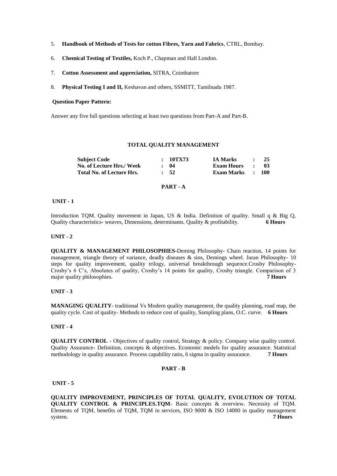- 5. **Handbook of Methods of Tests for cotton Fibres, Yarn and Fabrics**, CTRL, Bombay.
- 6. **Chemical Testing of Textiles,** Koch P., Chapman and Hall London.
- 7. **Cotton Assessment and appreciation,** SITRA, Coimbatore
- 8. **Physical Testing I and II,** Keshavan and others, SSMITT, Tamilnadu 1987.

## **Question Paper Pattern:**

Answer any five full questions selecting at least two questions from Part-A and Part-B.

#### **TOTAL QUALITY MANAGEMENT**

| <b>Subject Code</b>       | : 10TX73        | <b>IA Marks</b>   | $\bullet$    | 25               |
|---------------------------|-----------------|-------------------|--------------|------------------|
| No. of Lecture Hrs./ Week | $\cdot$ 04      | <b>Exam Hours</b> | $\mathbf{r}$ | - 03             |
| Total No. of Lecture Hrs. | $\therefore$ 52 | <b>Exam Marks</b> |              | $\therefore$ 100 |

# **PART - A**

#### **UNIT - 1**

Introduction TQM. Quality movement in Japan, US & India. Definition of quality. Small q & Big Q, Quality characteristics- weaves, Dimensions, determinants. Quality & profitability. **6 Hours**

#### **UNIT - 2**

**QUALITY & MANAGEMENT PHILOSOPHIES-**Deming Philosophy- Chain reaction, 14 points for management, triangle theory of variance, deadly diseases  $\&$  sins, Demings wheel. Juran Philosophy- 10 steps for quality improvement, quality trilogy, universal breakthrough sequence.Crosby Philosophy-Crosby's 6 C's, Absolutes of quality, Crosby's 14 points for quality, Crosby triangle. Comparison of 3 major quality philosophies.

## **UNIT - 3**

**MANAGING QUALITY**- traditional Vs Modern quality management, the quality planning, road map, the quality cycle. Cost of quality- Methods to reduce cost of quality, Sampling plans, O.C. curve. **6 Hours**

# **UNIT - 4**

**QUALITY CONTROL -** Objectives of quality control, Strategy & policy. Company wise quality control. Quality Assurance- Definition, concepts & objectives. Economic models for quality assurance. Statistical methodology in quality assurance. Process capability ratio, 6 sigma in quality assurance. **7 Hours**

# **PART - B**

# **UNIT - 5**

**QUALITY IMPROVEMENT, PRINCIPLES OF TOTAL QUALITY, EVOLUTION OF TOTAL QUALITY CONTROL & PRINCIPLES.TQM-** Basic concepts & overview. Necessity of TQM. Elements of TQM, benefits of TQM, TQM in services, ISO 9000 & ISO 14000 in quality management system. **7 Hours**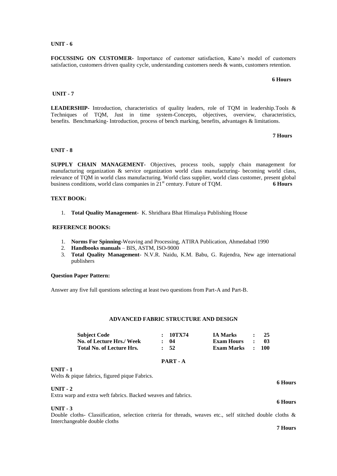**FOCUSSING ON CUSTOMER-** Importance of customer satisfaction, Kano's model of customers satisfaction, customers driven quality cycle, understanding customers needs & wants, customers retention.

 **6 Hours**

#### **UNIT - 7**

**LEADERSHIP-** Introduction, characteristics of quality leaders, role of TQM in leadership.Tools & Techniques of TQM, Just in time system-Concepts, objectives, overview, characteristics, benefits. Benchmarking- Introduction, process of bench marking, benefits, advantages & limitations.

 **7 Hours**

#### **UNIT - 8**

**SUPPLY CHAIN MANAGEMENT-** Objectives, process tools, supply chain management for manufacturing organization  $\&$  service organization world class manufacturing- becoming world class, relevance of TQM in world class manufacturing. World class supplier, world class customer, present global business conditions, world class companies in 21st century. Future of TQM. **6 Hours**

## **TEXT BOOK:**

1. **Total Quality Management-** K. Shridhara Bhat Himalaya Publishing House

#### **REFERENCE BOOKS:**

- 1. **Norms For Spinning-**Weaving and Processing, ATIRA Publication, Ahmedabad 1990
- 2. **Handbooks manuals** BIS, ASTM, ISO-9000
- 3. **Total Quality Management** N.V.R. Naidu, K.M. Babu, G. Rajendra, New age international publishers

#### **Question Paper Pattern:**

Answer any five full questions selecting at least two questions from Part-A and Part-B.

# **ADVANCED FABRIC STRUCTURE AND DESIGN**

| <b>Subject Code</b>              | : 10TX74         | <b>IA Marks</b> |              | -25              |
|----------------------------------|------------------|-----------------|--------------|------------------|
| No. of Lecture Hrs./ Week        | : 04             | Exam Hours      | $\mathbf{r}$ | - 03             |
| <b>Total No. of Lecture Hrs.</b> | $\frac{1}{2}$ 52 | Exam Marks      |              | $\therefore$ 100 |

#### **PART - A**

#### **UNIT - 1**

Welts & pique fabrics, figured pique Fabrics.

**UNIT - 2**

Extra warp and extra weft fabrics. Backed weaves and fabrics.

**UNIT - 3**

Double cloths- Classification, selection criteria for threads, weaves etc., self stitched double cloths & Interchangeable double cloths

**7 Hours**

**6 Hours**

**6 Hours**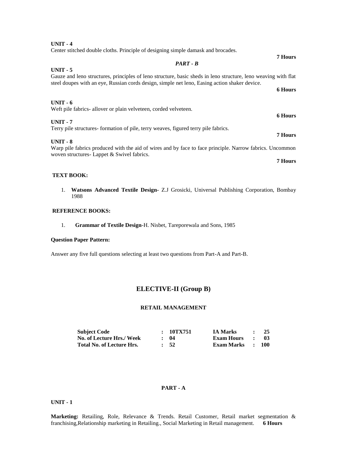| Center stitched double cloths. Principle of designing simple damask and brocades.                                                                       |                |
|---------------------------------------------------------------------------------------------------------------------------------------------------------|----------------|
|                                                                                                                                                         | <b>7 Hours</b> |
| $PART - B$                                                                                                                                              |                |
| $UNIT - 5$                                                                                                                                              |                |
| Gauze and leno structures, principles of leno structure, basic sheds in leno structure, leno weaving with flat                                          |                |
| steel doupes with an eye, Russian cords design, simple net leno, Easing action shaker device.                                                           |                |
|                                                                                                                                                         | <b>6 Hours</b> |
| $UNIT - 6$                                                                                                                                              |                |
| Weft pile fabrics- allover or plain velveteen, corded velveteen.                                                                                        |                |
|                                                                                                                                                         | <b>6 Hours</b> |
| $UNIT - 7$                                                                                                                                              |                |
| Terry pile structures formation of pile, terry weaves, figured terry pile fabrics.                                                                      |                |
|                                                                                                                                                         | <b>7 Hours</b> |
| $UNIT - 8$                                                                                                                                              |                |
| Warp pile fabrics produced with the aid of wires and by face to face principle. Narrow fabrics. Uncommon<br>woven structures - Lappet & Swivel fabrics. |                |
|                                                                                                                                                         | <b>7 Hours</b> |

#### **TEXT BOOK:**

**UNIT - 4**

1. **Watsons Advanced Textile Design-** Z.J Grosicki, Universal Publishing Corporation, Bombay 1988

# **REFERENCE BOOKS:**

1. **Grammar of Textile Design**-H. Nisbet, Tareporewala and Sons, 1985

# **Question Paper Pattern:**

Answer any five full questions selecting at least two questions from Part-A and Part-B.

# **ELECTIVE-II (Group B)**

# **RETAIL MANAGEMENT**

| <b>Subject Code</b>       | : 10TX751        | <b>IA Marks</b>   | $\bullet$     | -25              |
|---------------------------|------------------|-------------------|---------------|------------------|
| No. of Lecture Hrs./ Week | : 04             | <b>Exam Hours</b> | $\sim$ $\sim$ | - 03             |
| Total No. of Lecture Hrs. | $\frac{1}{2}$ 52 | <b>Exam Marks</b> |               | $\therefore$ 100 |

# **PART - A**

# **UNIT - 1**

**Marketing:** Retailing, Role, Relevance & Trends. Retail Customer, Retail market segmentation & franchising,Relationship marketing in Retailing., Social Marketing in Retail management. **6 Hours**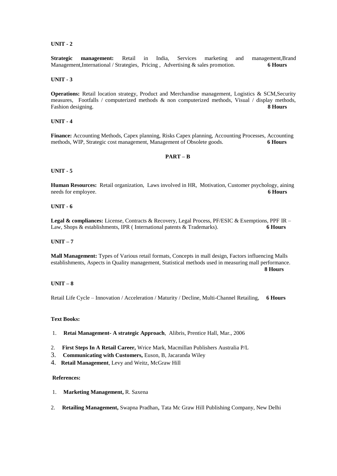**Strategic management:** Retail in India, Services marketing and management,Brand Management,International / Strategies, Pricing , Advertising & sales promotion. **6 Hours**

#### **UNIT - 3**

**Operations:** Retail location strategy, Product and Merchandise management, Logistics & SCM, Security measures, Footfalls / computerized methods & non computerized methods, Visual / display methods, Fashion designing. **8 Hours**

# **UNIT - 4**

**Finance:** Accounting Methods, Capex planning, Risks Capex planning, Accounting Processes, Accounting methods, WIP, Strategic cost management, Management of Obsolete goods. **6 Hours**

#### **PART – B**

#### **UNIT - 5**

**Human Resources:** Retail organization, Laws involved in HR, Motivation, Customer psychology, aining needs for employee. **6 Hours 6 Hours** 

#### **UNIT - 6**

**Legal & compliances:** License, Contracts & Recovery, Legal Process, PF/ESIC & Exemptions, PPF IR – Law, Shops & establishments, IPR ( International patents & Trademarks). **6 Hours**

#### **UNIT – 7**

**Mall Management:** Types of Various retail formats, Concepts in mall design, Factors influencing Malls establishments, Aspects in Quality management, Statistical methods used in measuring mall performance. **8 Hours**

# **UNIT – 8**

Retail Life Cycle – Innovation / Acceleration / Maturity / Decline, Multi-Channel Retailing, **6 Hours**

# **Text Books:**

- 1. **Retai Management- A strategic Approach**, Alibris, Prentice Hall, Mar., 2006
- 2. **First Steps In A Retail Career,** Wrice Mark, Macmillan Publishers Australia P/L
- 3. **Communicating with Customers,** Euson, B, Jacaranda Wiley
- 4. **Retail Management**, Levy and Weitz, McGraw Hill

#### **References:**

- 1. **Marketing Management,** R. Saxena
- 2. **Retailing Management,** Swapna Pradhan, Tata Mc Graw Hill Publishing Company, New Delhi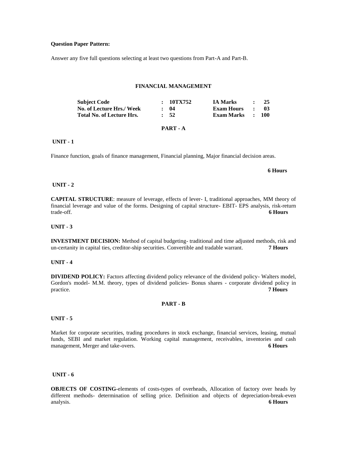#### **Question Paper Pattern:**

Answer any five full questions selecting at least two questions from Part-A and Part-B.

#### **FINANCIAL MANAGEMENT**

| <b>Subject Code</b>              | :10TX752         | <b>IA Marks</b>   |              | 25         |
|----------------------------------|------------------|-------------------|--------------|------------|
| No. of Lecture Hrs./ Week        | $\cdot$ 04       | <b>Exam Hours</b> |              | -03-       |
| <b>Total No. of Lecture Hrs.</b> | $\frac{1}{2}$ 52 | <b>Exam Marks</b> | $\mathbf{r}$ | <b>100</b> |
|                                  |                  |                   |              |            |

# **PART - A**

# **UNIT - 1**

Finance function, goals of finance management, Financial planning, Major financial decision areas.

#### **6 Hours**

# **UNIT - 2**

**CAPITAL STRUCTURE**: measure of leverage, effects of lever- I, traditional approaches, MM theory of financial leverage and value of the forms. Designing of capital structure- EBIT- EPS analysis, risk-return trade-off. **6 Hours**

# **UNIT - 3**

**INVESTMENT DECISION:** Method of capital budgeting- traditional and time adjusted methods, risk and un-certanity in capital ties, creditor-ship securities. Convertible and tradable warrant. **7 Hours**

#### **UNIT - 4**

**DIVIDEND POLICY:** Factors affecting dividend policy relevance of the dividend policy- Walters model, Gordon's model- M.M. theory, types of dividend policies- Bonus shares - corporate dividend policy in practice practice. **7 Hours**

#### **PART - B**

#### **UNIT - 5**

Market for corporate securities, trading procedures in stock exchange, financial services, leasing, mutual funds, SEBI and market regulation. Working capital management, receivables, inventories and cash management, Merger and take-overs. **6 Hours**

#### **UNIT - 6**

**OBJECTS OF COSTING-**elements of costs-types of overheads, Allocation of factory over heads by different methods- determination of selling price. Definition and objects of depreciation-break-even analysis. **6 Hours**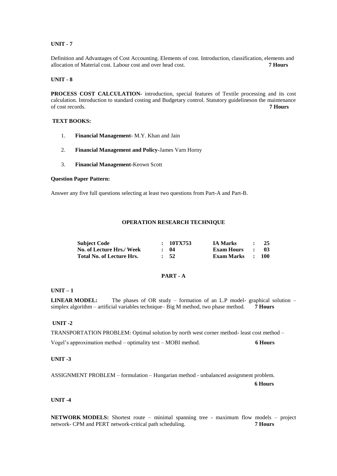Definition and Advantages of Cost Accounting. Elements of cost. Introduction, classification, elements and allocation of Material cost. Labour cost and over head cost. allocation of Material cost. Labour cost and over head cost.

## **UNIT - 8**

**PROCESS COST CALCULATION-** introduction, special features of Textile processing and its cost calculation. Introduction to standard costing and Budgetary control. Statutory guidelineson the maintenance of cost records. **7 Hours**

# **TEXT BOOKS:**

- 1. **Financial Management-** M.Y. Khan and Jain
- 2. **Financial Management and Policy-**James Varn Horny
- 3. **Financial Management-**Keown Scott

#### **Question Paper Pattern:**

Answer any five full questions selecting at least two questions from Part-A and Part-B.

# **OPERATION RESEARCH TECHNIQUE**

| <b>Subject Code</b>              | : 10TX753        | <b>IA Marks</b>   |                     | 25   |
|----------------------------------|------------------|-------------------|---------------------|------|
| No. of Lecture Hrs./ Week        | : 04             | <b>Exam Hours</b> |                     | -03- |
| <b>Total No. of Lecture Hrs.</b> | $\frac{1}{2}$ 52 | <b>Exam Marks</b> | $\sim$ 1.000 $\sim$ | -100 |

# **PART - A**

#### **UNIT – 1**

**LINEAR MODEL:** The phases of OR study – formation of an L.P model- graphical solution – simplex algorithm – artificial variables technique– Big M method, two phase method. **7 Hours**

# **UNIT -2**

TRANSPORTATION PROBLEM: Optimal solution by north west corner method- least cost method – Vogel's approximation method – optimality test – MOBI method. **6 Hours**

## **UNIT -3**

ASSIGNMENT PROBLEM – formulation – Hungarian method - unbalanced assignment problem.

 **6 Hours**

#### **UNIT -4**

**NETWORK MODELS:** Shortest route – minimal spanning tree - maximum flow models – project network- CPM and PERT network-critical path scheduling. **7 Hours**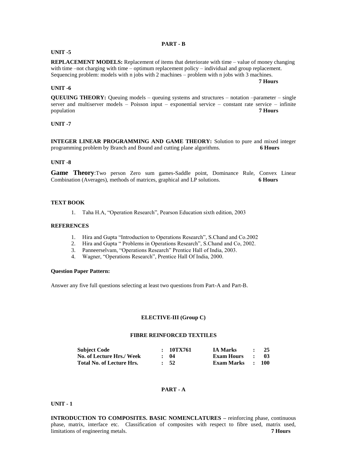#### **PART - B**

#### **UNIT -5**

**REPLACEMENT MODELS:** Replacement of items that deteriorate with time – value of money changing with time –not charging with time – optimum replacement policy – individual and group replacement. Sequencing problem: models with n jobs with 2 machines – problem with n jobs with 3 machines.

#### **UNIT -6**

**QUEUING THEORY:** Queuing models – queuing systems and structures – notation –parameter – single server and multiserver models – Poisson input – exponential service – constant rate service – infinite nonulation population **7 Hours**

#### **UNIT -7**

**INTEGER LINEAR PROGRAMMING AND GAME THEORY:** Solution to pure and mixed integer programming problem by Branch and Bound and cutting plane algorithms. **6 Hours**

#### **UNIT -8**

**Game Theory**:Two person Zero sum games-Saddle point, Dominance Rule, Convex Linear Combination (Averages), methods of matrices, graphical and LP solutions. **6 Hours**

## **TEXT BOOK**

1. Taha H.A, "Operation Research", Pearson Education sixth edition, 2003

# **REFERENCES**

- 1. Hira and Gupta "Introduction to Operations Research", S.Chand and Co.2002
- 2. Hira and Gupta "Problems in Operations Research", S.Chand and Co, 2002.
- 3. Panneerselvam, "Operations Research" Prentice Hall of India, 2003.
- 4. Wagner, "Operations Research", Prentice Hall Of India, 2000.

#### **Question Paper Pattern:**

Answer any five full questions selecting at least two questions from Part-A and Part-B.

## **ELECTIVE-III (Group C)**

# **FIBRE REINFORCED TEXTILES**

| <b>Subject Code</b>              | : 10TX761  | <b>IA Marks</b>  | $\sim$ $\sim$    | - 25 |
|----------------------------------|------------|------------------|------------------|------|
| No. of Lecture Hrs./ Week        | $\cdot$ 04 | Exam Hours       | and the state of | - 03 |
| <b>Total No. of Lecture Hrs.</b> | $\cdot$ 52 | Exam Marks : 100 |                  |      |

# **PART - A**

## **UNIT - 1**

**INTRODUCTION TO COMPOSITES. BASIC NOMENCLATURES –** reinforcing phase, continuous phase, matrix, interface etc. Classification of composites with respect to fibre used, matrix used, limitations of engineering metals. **7 Hours**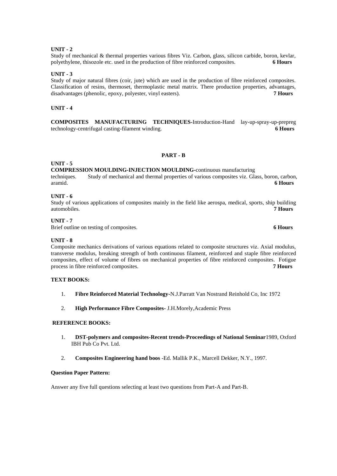Study of mechanical & thermal properties various fibres Viz. Carbon, glass, silicon carbide, boron, kevlar, polyethylene, thisozole etc. used in the production of fibre reinforced composites. **6 Hours**

## **UNIT - 3**

Study of major natural fibres (coir, jute) which are used in the production of fibre reinforced composites. Classification of resins, thermoset, thermoplastic metal matrix. There production properties, advantages, disadvantages (phenolic, epoxy, polyester, vinyl easters). **7 Hours**

# **UNIT - 4**

**COMPOSITES MANUFACTURING TECHNIQUES-**Introduction-Hand lay-up-spray-up-prepreg technology-centrifugal casting-filament winding. **6 Hours**

#### **PART - B**

# **UNIT - 5**

**COMPRESSION MOULDING-INJECTION MOULDING-**continuous manufacturing

techniques. Study of mechanical and thermal properties of various composites viz. Glass, boron, carbon, aramid. **6 Hours**

# **UNIT - 6**

Study of various applications of composites mainly in the field like aerospa, medical, sports, ship building automobiles. **7 Hours**

# **UNIT - 7**

Brief outline on testing of composites. **6 Hours**

# **UNIT - 8**

Composite mechanics derivations of various equations related to composite structures viz. Axial modulus, transverse modulus, breaking strength of both continuous filament, reinforced and staple fibre reinforced composites, effect of volume of fibres on mechanical properties of fibre reinforced composites. Fotigue process in fibre reinforced composites. **7 Hours**

# **TEXT BOOKS:**

- 1. **Fibre Reinforced Material Technology-**N.J.Parratt Van Nostrand Reinhold Co, Inc 1972
- 2. **High Performance Fibre Composites-** J.H.Morely,Academic Press

## **REFERENCE BOOKS:**

- 1. **DST-polymers and composites-Recent trends-Proceedings of National Seminar**1989, Oxford IBH Pub Co Pvt. Ltd.
- 2. **Composites Engineering hand boos** -Ed. Mallik P.K., Marcell Dekker, N.Y., 1997.

#### **Question Paper Pattern:**

Answer any five full questions selecting at least two questions from Part-A and Part-B.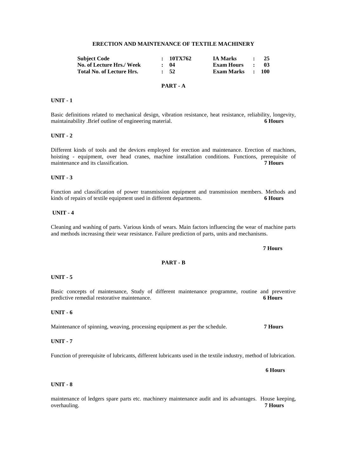#### **ERECTION AND MAINTENANCE OF TEXTILE MACHINERY**

| <b>Subject Code</b>              | : 10TX762  | <b>IA Marks</b>   | $\mathbf{r}$                | -25  |
|----------------------------------|------------|-------------------|-----------------------------|------|
| No. of Lecture Hrs./ Week        | $\cdot$ 04 | <b>Exam Hours</b> | $\sim$ $\sim$ $\sim$ $\sim$ | - 03 |
| <b>Total No. of Lecture Hrs.</b> | $\cdot$ 52 | Exam Marks : 100  |                             |      |
|                                  |            |                   |                             |      |

# **PART - A**

## **UNIT - 1**

Basic definitions related to mechanical design, vibration resistance, heat resistance, reliability, longevity, maintainability .Brief outline of engineering material. **6 Hours**

# **UNIT - 2**

Different kinds of tools and the devices employed for erection and maintenance. Erection of machines, hoisting - equipment, over head cranes, machine installation conditions. Functions, prerequisite of maintenance and its classification. **7 Hours**

# **UNIT - 3**

Function and classification of power transmission equipment and transmission members. Methods and kinds of repairs of textile equipment used in different departments. **6 Hours**

# **UNIT - 4**

Cleaning and washing of parts. Various kinds of wears. Main factors influencing the wear of machine parts and methods increasing their wear resistance. Failure prediction of parts, units and mechanisms.

**PART - B**

# **UNIT - 5**

Basic concepts of maintenance, Study of different maintenance programme, routine and preventive predictive remedial restorative maintenance. **6 Hours**

#### **UNIT - 6**

Maintenance of spinning, weaving, processing equipment as per the schedule. **7 Hours**

#### **UNIT - 7**

Function of prerequisite of lubricants, different lubricants used in the textile industry, method of lubrication.

## **UNIT - 8**

maintenance of ledgers spare parts etc. machinery maintenance audit and its advantages. House keeping, overhauling. **7 Hours**

#### **7 Hours**

 **6 Hours**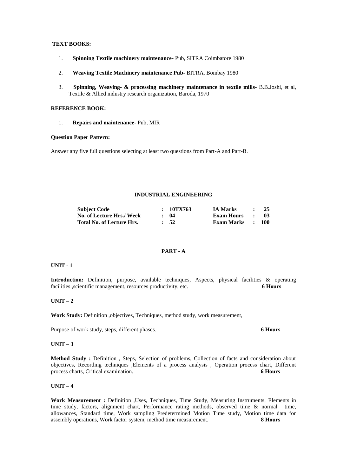# **TEXT BOOKS:**

- 1. **Spinning Textile machinery maintenance-** Pub, SITRA Coimbatore 1980
- 2. **Weaving Textile Machinery maintenance Pub-** BITRA, Bombay 1980
- 3. **Spinning, Weaving- & processing machinery maintenance in textile mills-** B.B.Joshi, et al, Textile & Allied industry research organization, Baroda, 1970

# **REFERENCE BOOK:**

1. **Repairs and maintenance**- Pub, MIR

#### **Question Paper Pattern:**

Answer any five full questions selecting at least two questions from Part-A and Part-B.

## **INDUSTRIAL ENGINEERING**

| <b>Subject Code</b>       | : 10TX763        | <b>IA Marks</b>   | $\bullet$           | - 25             |
|---------------------------|------------------|-------------------|---------------------|------------------|
| No. of Lecture Hrs./ Week | $\cdot$ 04       | <b>Exam Hours</b> | $\sim$ 1.000 $\sim$ | - 03             |
| Total No. of Lecture Hrs. | $\frac{1}{2}$ 52 | Exam Marks        |                     | $\therefore$ 100 |

# **PART - A**

# **UNIT - 1**

**Introduction:** Definition, purpose, available techniques, Aspects, physical facilities & operating facilities ,scientific management, resources productivity, etc. **6 Hours**

### **UNIT – 2**

**Work Study:** Definition ,objectives, Techniques, method study, work measurement,

Purpose of work study, steps, different phases. **6 Hours**

## **UNIT – 3**

**Method Study :** Definition , Steps, Selection of problems, Collection of facts and consideration about objectives, Recording techniques ,Elements of a process analysis , Operation process chart, Different process charts, Critical examination. **6 Hours**

#### **UNIT – 4**

**Work Measurement :** Definition ,Uses, Techniques, Time Study, Measuring Instruments, Elements in time study, factors, alignment chart, Performance rating methods, observed time & normal time, allowances, Standard time, Work sampling Predetermined Motion Time study, Motion time data for assembly operations, Work factor system, method time measurement. **8 Hours**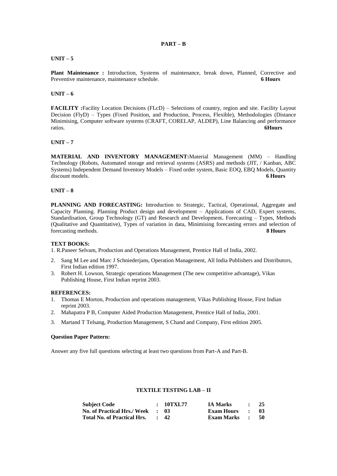# **PART – B**

# **UNIT – 5**

**Plant Maintenance :** Introduction, Systems of maintenance, break down, Planned, Corrective and Preventive maintenance, maintenance schedule. **6 Hours**

# **UNIT – 6**

**FACILITY** :Facility Location Decisions (FLcD) – Selections of country, region and site. Facility Layout Decision (FlyD) – Types (Fixed Position, and Production, Process, Flexible), Methodologies (Distance Minimising, Computer software systems (CRAFT, CORELAP, ALDEP), Line Balancing and performance ratios. **6Hours**

## **UNIT – 7**

**MATERIAL AND INVENTORY MANAGEMENT:**Material Management (MM) – Handling Technology (Robots, Automated storage and retrieval systems (ASRS) and methods (JIT, / Kanban, ABC Systems) Independent Demand Inventory Models – Fixed order system, Basic EOQ, EBQ Models, Quantity discount models. **6 Hours**

## **UNIT – 8**

**PLANNING AND FORECASTING:** Introduction to Strategic, Tactical, Operational, Aggregate and Capacity Planning. Planning Product design and development – Applications of CAD, Expert systems, Standardisation, Group Technology (GT) and Research and Development**.** Forecasting – Types, Methods (Qualitative and Quantitative), Types of variation in data, Minimising forecasting errors and selection of forecasting methods. **8 Hours**

#### **TEXT BOOKS:**

1. R.Paneer Selvam, Production and Operations Management, Prentice Hall of India, 2002.

- 2. Sang M Lee and Marc J Schniederjans, Operation Management, All India Publishers and Distributors, First Indian edition 1997.
- 3. Robert H. Lowson, Strategic operations Management (The new competitive advantage), Vikas Publishing House, First Indian reprint 2003.

#### **REFERENCES:**

- 1. Thomas E Morton, Production and operations management, Vikas Publishing House, First Indian reprint 2003.
- 2. Mahapatra P B, Computer Aided Production Management, Prentice Hall of India, 2001.
- 3. Martand T Telsang, Production Management, S Chand and Company, First edition 2005.

## **Question Paper Pattern:**

Answer any five full questions selecting at least two questions from Part-A and Part-B.

# **TEXTILE TESTING LAB – II**

| <b>Subject Code</b>                | : 10TXL77       | <b>IA Marks</b>   | $\bullet$    | 25   |
|------------------------------------|-----------------|-------------------|--------------|------|
| <b>No. of Practical Hrs./ Week</b> | . . 03          | Exam Hours        | $\bullet$    | -03- |
| <b>Total No. of Practical Hrs.</b> | $\therefore$ 42 | <b>Exam Marks</b> | $\mathbf{r}$ | - 50 |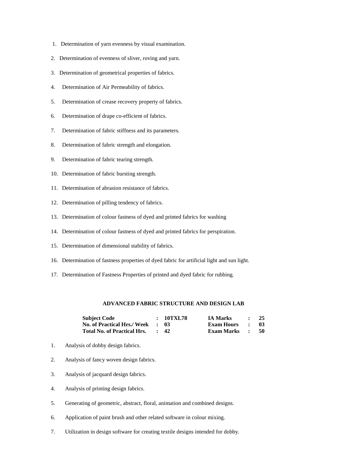- 1. Determination of yarn evenness by visual examination.
- 2. Determination of evenness of sliver, roving and yarn.
- 3. Determination of geometrical properties of fabrics.
- 4. Determination of Air Permeability of fabrics.
- 5. Determination of crease recovery property of fabrics.
- 6. Determination of drape co-efficient of fabrics.
- 7. Determination of fabric stiffness and its parameters.
- 8. Determination of fabric strength and elongation.
- 9. Determination of fabric tearing strength.
- 10. Determination of fabric bursting strength.
- 11. Determination of abrasion resistance of fabrics.
- 12. Determination of pilling tendency of fabrics.
- 13. Determination of colour fastness of dyed and printed fabrics for washing
- 14. Determination of colour fastness of dyed and printed fabrics for perspiration.
- 15. Determination of dimensional stability of fabrics.
- 16. Determination of fastness properties of dyed fabric for artificial light and sun light.
- 17. Determination of Fastness Properties of printed and dyed fabric for rubbing.

# **ADVANCED FABRIC STRUCTURE AND DESIGN LAB**

| <b>Subject Code</b>                | : 10TXL78       | <b>IA Marks</b>   |               | 25  |
|------------------------------------|-----------------|-------------------|---------------|-----|
| <b>No. of Practical Hrs./ Week</b> | - 18            | Exam Hours        | $\sim$ $\sim$ | -03 |
| <b>Total No. of Practical Hrs.</b> | $\therefore$ 42 | <b>Exam Marks</b> | $\mathbf{r}$  | 50  |

- 1. Analysis of dobby design fabrics.
- 2. Analysis of fancy woven design fabrics.
- 3. Analysis of jacquard design fabrics.
- 4. Analysis of printing design fabrics.
- 5. Generating of geometric, abstract, floral, animation and combined designs.
- 6. Application of paint brush and other related software in colour mixing.
- 7. Utilization in design software for creating textile designs intended for dobby.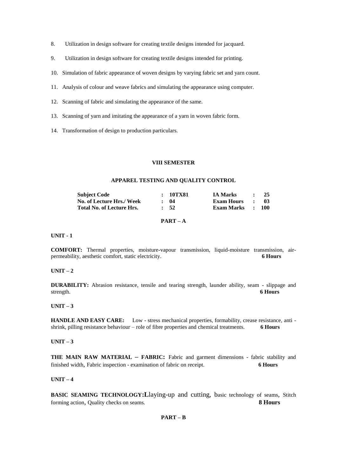- 8. Utilization in design software for creating textile designs intended for jacquard.
- 9. Utilization in design software for creating textile designs intended for printing.
- 10. Simulation of fabric appearance of woven designs by varying fabric set and yarn count.
- 11. Analysis of colour and weave fabrics and simulating the appearance using computer.
- 12. Scanning of fabric and simulating the appearance of the same.
- 13. Scanning of yarn and imitating the appearance of a yarn in woven fabric form.
- 14. Transformation of design to production particulars.

#### **VIII SEMESTER**

#### **APPAREL TESTING AND QUALITY CONTROL**

| <b>Subject Code</b>       | : 10TX81   | <b>IA Marks</b>   |           | 25   |
|---------------------------|------------|-------------------|-----------|------|
| No. of Lecture Hrs./ Week | $\cdot$ 04 | <b>Exam Hours</b> | $\cdot$   | -03- |
| Total No. of Lecture Hrs. | $\cdot$ 52 | <b>Exam Marks</b> | $\sim$ 1. | -100 |

# **PART – A**

## **UNIT - 1**

**COMFORT:** Thermal properties, moisture-vapour transmission, liquid-moisture transmission, airpermeability, aesthetic comfort, static electricity. **6 Hours**

#### **UNIT – 2**

**DURABILITY:** Abrasion resistance, tensile and tearing strength, launder ability, seam - slippage and strength. **6 Hours**

# **UNIT – 3**

**HANDLE AND EASY CARE:** Low - stress mechanical properties, formability, crease resistance, anti shrink, pilling resistance behaviour – role of fibre properties and chemical treatments. **6 Hours**

## **UNIT – 3**

**THE MAIN RAW MATERIAL – FABRIC:** Fabric and garment dimensions - fabric stability and finished width, Fabric inspection - examination of fabric on receipt. **6 Hours**

# **UNIT – 4**

**BASIC SEAMING TECHNOLOGY:L**laying-up and cutting, basic technology of seams, Stitch forming action, Quality checks on seams. **8 Hours**

**PART – B**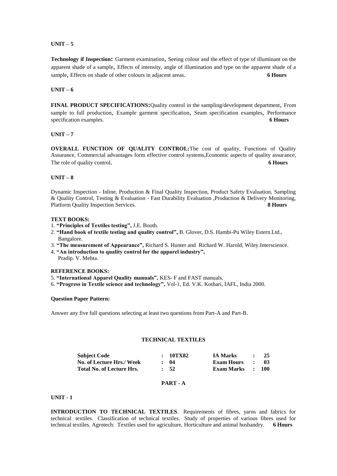# **UNIT – 5**

**Technology if Inspection:** Garment examination, Seeing colour and the effect of type of illuminant on the apparent shade of a sample, Effects of intensity, angle of illumination and type on the apparent shade of a sample, Effects on shade of other colours in adjacent areas. **6 Hours**

# **UNIT – 6**

**FINAL PRODUCT SPECIFICATIONS:**Quality control in the sampling/development department, From sample to full production, Example garment specification, Seam specification examples, Performance specification examples. **6 Hours**

# **UNIT – 7**

**OVERALL FUNCTION OF QUALITY CONTROL:**The cost of quality, Functions of Quality Assurance, Commercial advantages form effective control systems,Economic aspects of quality assurance, The role of quality control. **6 Hours 6 Hours** 

# **UNIT – 8**

Dynamic Inspection - Inline, Production & Final Quality Inspection, Product Safety Evaluation, Sampling & Quality Control, Testing & Evaluation - Fast Durability Evaluation ,Production & Delivery Monitoring, Platform Quality Inspection Services. **8 Hours**

# **TEXT BOOKS:**

- 1. **"Principles of Textiles testing",** J.E. Booth.
- 2. **"Hand book of textile testing and quality control",** B. Glover, D.S. Hambi-Pu Wiley Estern.Ltd., Bangalore.
- 3. **"The measurement of Appearance",** Richard S. Hunter and Richard W. Harold, Wiley.Interscience.
- 4. **"An introduction to quality control for the apparel industry",**
- Pradip. V. Mehta.

## **REFERENCE BOOKS:**

- 5. **"International Apparel Quality manuals",** KES- F and FAST manuals.
- 6. **"Progress in Textile science and technology",** Vol-1, Ed. V.K. Kothari, IAFL, India 2000.

# **Question Paper Pattern:**

Answer any five full questions selecting at least two questions from Part-A and Part-B.

# **TECHNICAL TEXTILES**

| <b>Subject Code</b>              | :10TX82          | <b>IA Marks</b>  | $\bullet$ . The set of $\bullet$   | - 25 |
|----------------------------------|------------------|------------------|------------------------------------|------|
| No. of Lecture Hrs./ Week        | $\cdot$ 04       | Exam Hours       | $\sim$ $\sim$ $\sim$ $\sim$ $\sim$ | - 03 |
| <b>Total No. of Lecture Hrs.</b> | $\frac{1}{2}$ 52 | Exam Marks : 100 |                                    |      |

# **PART - A**

#### **UNIT - 1**

**INTRODUCTION TO TECHNICAL TEXTILES**. Requirements of fibres, yarns and fabrics for technical textiles. Classification of technical textiles. Study of properties of various fibres used for technical textiles. Agrotech: Textiles used for agriculture, Horticulture and animal husbandry. **6 Hours**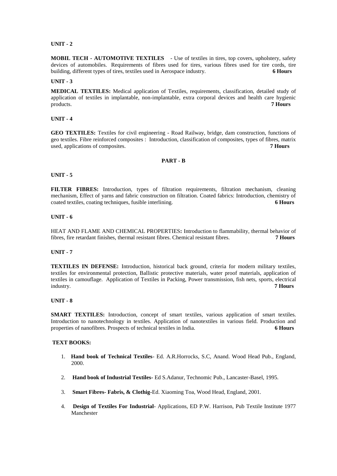**MOBIL TECH - AUTOMOTIVE TEXTILES** - Use of textiles in tires, top covers, upholstery, safety devices of automobiles. Requirements of fibres used for tires, various fibres used for tire cords, tire building, different types of tires, textiles used in Aerospace industry. **6 Hours**

#### **UNIT - 3**

**MEDICAL TEXTILES:** Medical application of Textiles, requirements, classification, detailed study of application of textiles in implantable, non-implantable, extra corporal devices and health care hygienic products. **7 Hours**

**UNIT - 4**

**GEO TEXTILES:** Textiles for civil engineering - Road Railway, bridge, dam construction, functions of geo textiles. Fibre reinforced composites : Introduction, classification of composites, types of fibres, matrix used, applications of composites. **7 Hours**

#### **PART - B**

#### **UNIT - 5**

**FILTER FIBRES:** Introduction, types of filtration requirements, filtration mechanism, cleaning mechanism, Effect of yarns and fabric construction on filtration. Coated fabrics: Introduction, chemistry of coated textiles, coating techniques, fusible interlining. **6 Hours**

#### **UNIT - 6**

HEAT AND FLAME AND CHEMICAL PROPERTIES**:** Introduction to flammability, thermal behavior of fibres, fire retardant finishes, thermal resistant fibres. Chemical resistant fibres. **7 Hours**

## **UNIT - 7**

**TEXTILES IN DEFENSE:** Introduction, historical back ground, criteria for modern military textiles, textiles for environmental protection, Ballistic protective materials, water proof materials, application of textiles in camouflage. Application of Textiles in Packing, Power transmission, fish nets, sports, electrical industry. **7 Hours**

# **UNIT - 8**

**SMART TEXTILES:** Introduction, concept of smart textiles, various application of smart textiles. Introduction to nanotechnology in textiles. Application of nanotextiles in various field. Production and properties of nanofibres. Prospects of technical textiles in India. 6 Hours properties of nanofibres. Prospects of technical textiles in India.

#### **TEXT BOOKS:**

- 1. **Hand book of Technical Textiles** Ed. A.R.Horrocks, S.C, Anand. Wood Head Pub., England, 2000.
- 2. **Hand book of Industrial Textiles-** Ed S.Adanur, Technomic Pub., Lancaster-Basel, 1995.
- 3. **Smart Fibres- Fabris, & Clothig-**Ed. Xiaoming Toa, Wood Head, England, 2001.
- 4. **Design of Textiles For Industrial** Applications, ED P.W. Harrison, Pub Textile Institute 1977 Manchester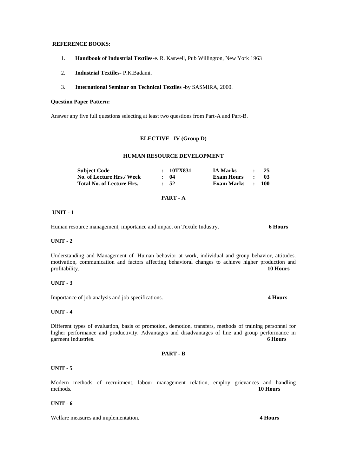## **REFERENCE BOOKS:**

- 1. **Handbook of Industrial Textiles**-e. R. Kaswell, Pub Willington, New York 1963
- 2. **Industrial Textiles-** P.K.Badami.
- 3. **International Seminar on Technical Textiles** -by SASMIRA, 2000.

# **Question Paper Pattern:**

Answer any five full questions selecting at least two questions from Part-A and Part-B.

# **ELECTIVE –IV (Group D)**

#### **HUMAN RESOURCE DEVELOPMENT**

| Subject Code                     | : 10TX831        | <b>IA Marks</b>   | $\bullet$     | 25               |
|----------------------------------|------------------|-------------------|---------------|------------------|
| <b>No. of Lecture Hrs./ Week</b> | $\cdot$ 04       | <b>Exam Hours</b> | $\sim$ $\sim$ | -03-             |
| <b>Total No. of Lecture Hrs.</b> | $\frac{1}{2}$ 52 | Exam Marks        |               | $\therefore$ 100 |

# **PART - A**

#### **UNIT - 1**

Human resource management, importance and impact on Textile Industry. **6 Hours**

## **UNIT - 2**

Understanding and Management of Human behavior at work, individual and group behavior, attitudes. motivation, communication and factors affecting behavioral changes to achieve higher production and profitability. **10 Hours**

# **UNIT - 3**

Importance of job analysis and job specifications. **4 Hours**

#### **UNIT - 4**

Different types of evaluation, basis of promotion, demotion, transfers, methods of training personnel for higher performance and productivity. Advantages and disadvantages of line and group performance in garment Industries. **6 Hours**

#### **PART - B**

# **UNIT - 5**

Modern methods of recruitment, labour management relation, employ grievances and handling methods. **10 Hours**

#### **UNIT - 6**

Welfare measures and implementation. **4 Hours**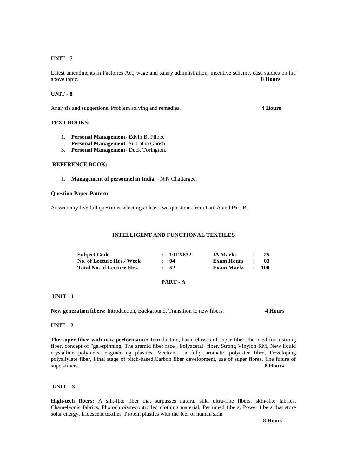Latest amendments in Factories Act, wage and salary administration, incentive scheme. case studies on the above topic. **8 Hours**

## **UNIT - 8**

Analysis and suggestions. Problem solving and remedies. **4 Hours**

# **TEXT BOOKS:**

- 1. **Personal Management** Edvin B. Flippe
- 2. **Personal Management** Subratha Ghosh.
- 3. **Personal Management** Duck Torington.

# **REFERENCE BOOK:**

1. **Management of personnel in India** – N.N Chattargee.

#### **Question Paper Pattern:**

Answer any five full questions selecting at least two questions from Part-A and Part-B.

#### **INTELLIGENT AND FUNCTIONAL TEXTILES**

| <b>Subject Code</b>       | : 10TX832  | <b>IA Marks</b>   | $\cdot$ $\cdot$ | - 25             |
|---------------------------|------------|-------------------|-----------------|------------------|
| No. of Lecture Hrs./ Week | $\cdot$ 04 | <b>Exam Hours</b> | - 100           | - 03             |
| Total No. of Lecture Hrs. | $\cdot$ 52 | Exam Marks        |                 | $\therefore$ 100 |

## **PART - A**

#### **UNIT - 1**

**New generation fibers:** Introduction, Background, Transition to new fibers. **4 Hours**

#### **UNIT – 2**

**The super-fiber with new performance:** Introduction, basic classes of super-fiber, the need for a strong fiber, concept of "gel-spinning, The aramid fiber race , Polyacetal fiber, Strong Vinylon RM, New liquid crystalline polymers: engineering plastics, Vectran: a fully aromatic polyester fibre, Developing polyallylate fiber, Final stage of pitch-based.Carbon fiber development, use of super fibres, The future of super-fibers. **8 Hours**

# **UNIT – 3**

**High-tech fibers:** A silk-like fiber that surpasses natural silk, ultra-fine fibers, skin-like fabrics, Chameleonic fabrics, Photochroism-controlled clothing material, Perfumed fibers, Power fibers that store solar energy, Iridescent textiles, Protein plastics with the feel of human skin.

 **8 Hours**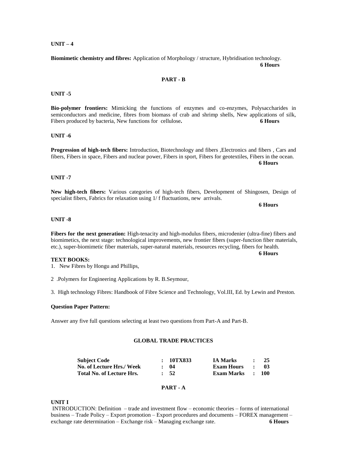# **UNIT – 4**

**Biomimetic chemistry and fibres:** Application of Morphology / structure, Hybridisation technology. **6 Hours 6 Hours** 

# **PART - B**

#### **UNIT -5**

**Bio-polymer frontiers:** Mimicking the functions of enzymes and co-enzymes, Polysaccharides in semiconductors and medicine, fibres from biomass of crab and shrimp shells, New applications of silk, Fibers produced by bacteria, New functions for cellulose. 6 **6 Hours** 

# **UNIT -6**

**Progression of high-tech fibers:** Introduction, Biotechnology and fibers, Electronics and fibers, Cars and fibers, Fibers in space, Fibers and nuclear power, Fibers in sport, Fibers for geotextiles, Fibers in the ocean.  **6 Hours**

## **UNIT -7**

**New high-tech fibers:** Various categories of high-tech fibers, Development of Shingosen, Design of specialist fibers, Fabrics for relaxation using 1/ f fluctuations, new arrivals.

 **6 Hours**

# **UNIT -8**

**Fibers for the next generation:** High-tenacity and high-modulus fibers, microdenier (ultra-fine) fibers and biomimetics, the next stage: technological improvements, new frontier fibers (super-function fiber materials, etc.), super-biomimetic fiber materials, super-natural materials, resources recycling, fibers for health.

 **6 Hours**

## **TEXT BOOKS:**

- 1. New Fibres by Hongu and Phillips,
- 2 .Polymers for Engineering Applications by R. B.Seymour,
- 3. High technology Fibres: Handbook of Fibre Science and Technology, Vol.III, Ed. by Lewin and Preston.

#### **Question Paper Pattern:**

Answer any five full questions selecting at least two questions from Part-A and Part-B.

# **GLOBAL TRADE PRACTICES**

| <b>Subject Code</b>              | : 10TX833  | IA Marks         | $\sim$ $\sim$        | -25  |
|----------------------------------|------------|------------------|----------------------|------|
| No. of Lecture Hrs./ Week        | $\cdot$ 04 | Exam Hours       | $\sim$ $\sim$ $\sim$ | - 03 |
| <b>Total No. of Lecture Hrs.</b> | $\cdot$ 52 | Exam Marks : 100 |                      |      |

## **PART - A**

# **UNIT I**

INTRODUCTION: Definition – trade and investment flow – economic theories – forms of international business – Trade Policy – Export promotion – Export procedures and documents – FOREX management – exchange rate determination – Exchange risk – Managing exchange rate. **6 Hours**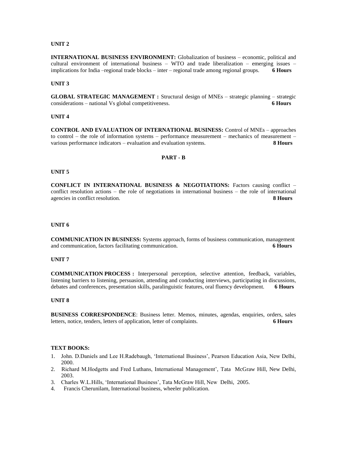# **UNIT 2**

**INTERNATIONAL BUSINESS ENVIRONMENT:** Globalization of business – economic, political and cultural environment of international business – WTO and trade liberalization – emerging issues – implications for India –regional trade blocks – inter – regional trade among regional groups. **6 Hours**

#### **UNIT 3**

**GLOBAL STRATEGIC MANAGEMENT :** Structural design of MNEs – strategic planning – strategic considerations – national Vs global competitiveness. **6 Hours**

# **UNIT 4**

**CONTROL AND EVALUATION OF INTERNATIONAL BUSINESS:** Control of MNEs – approaches to control – the role of information systems – performance measurement – mechanics of measurement – various performance indicators – evaluation and evaluation systems. **8 Hours**

## **PART - B**

#### **UNIT 5**

**CONFLICT IN INTERNATIONAL BUSINESS & NEGOTIATIONS:** Factors causing conflict – conflict resolution actions – the role of negotiations in international business – the role of international agencies in conflict resolution. **8 Hours**

#### **UNIT 6**

**COMMUNICATION IN BUSINESS:** Systems approach, forms of business communication, management and communication, factors facilitating communication. **6 Hours**

# **UNIT 7**

**COMMUNICATION PROCESS :** Interpersonal perception, selective attention, feedback, variables, listening barriers to listening, persuasion, attending and conducting interviews, participating in discussions, debates and conferences, presentation skills, paralinguistic features, oral fluency development. **6 Hours**

# **UNIT 8**

**BUSINESS CORRESPONDENCE**: Business letter. Memos, minutes, agendas, enquiries, orders, sales letters, notice, tenders, letters of application, letter of complaints. **6 Hours**

# **TEXT BOOKS:**

- 1. John. D.Daniels and Lee H.Radebaugh, ‗International Business', Pearson Education Asia, New Delhi, 2000.
- 2. Richard M.Hodgetts and Fred Luthans, International Management', Tata McGraw Hill, New Delhi, 2003.
- 3. Charles W.L.Hills, 'International Business', Tata McGraw Hill, New Delhi, 2005.
- 4. Francis Cherunilam, International business, wheeler publication.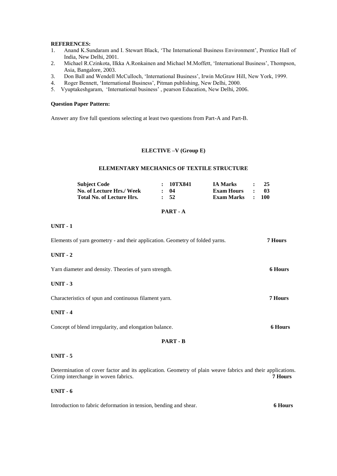# **REFERENCES:**

- 1. Anand K.Sundaram and I. Stewart Black, ‗The International Business Environment', Prentice Hall of India, New Delhi, 2001.
- 2. Michael R.Czinkota, IIkka A.Ronkainen and Michael M.Moffett, ‗International Business', Thompson, Asia, Bangalore, 2003.
- 3. Don Ball and Wendell McCulloch, 'International Business', Irwin McGraw Hill, New York, 1999.
- 4. Roger Bennett, 'International Business', Pitman publishing, New Delhi, 2000.
- 5. Vyuptakeshgaram, 'International business', pearson Education, New Delhi, 2006.

## **Question Paper Pattern:**

Answer any five full questions selecting at least two questions from Part-A and Part-B.

#### **ELECTIVE –V (Group E)**

# **ELEMENTARY MECHANICS OF TEXTILE STRUCTURE**

| <b>Subject Code</b>              | : 10TX841  | <b>IA Marks</b>   |           | 25               |
|----------------------------------|------------|-------------------|-----------|------------------|
| No. of Lecture Hrs./ Week        | $\cdot$ 04 | Exam Hours        | $\cdot$ . | -03-             |
| <b>Total No. of Lecture Hrs.</b> | $\cdot$ 52 | <b>Exam Marks</b> |           | $\therefore$ 100 |

# **PART - A**

# **UNIT - 1**

| Elements of yarn geometry - and their application. Geometry of folded yarns. | <b>7 Hours</b> |
|------------------------------------------------------------------------------|----------------|
| $UNIT - 2$                                                                   |                |
| Yarn diameter and density. Theories of yarn strength.                        | <b>6 Hours</b> |
| $UNIT - 3$                                                                   |                |
| Characteristics of spun and continuous filament yarn.                        | 7 Hours        |
| $UNIT - 4$                                                                   |                |
| Concept of blend irregularity, and elongation balance.                       | <b>6 Hours</b> |
| <b>PART - B</b>                                                              |                |

# **UNIT - 5**

Determination of cover factor and its application. Geometry of plain weave fabrics and their applications.<br>Crimp interchange in woven fabrics. **7 Hours** Crimp interchange in woven fabrics.

# **UNIT - 6**

Introduction to fabric deformation in tension, bending and shear. **6 Hours**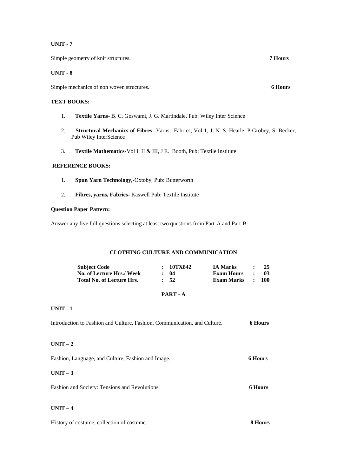Simple geometry of knit structures. **7 Hours**

# **UNIT - 8**

Simple mechanics of non woven structures. **6 Hours**

# **TEXT BOOKS:**

- 1. **Textile Yarns** B. C. Goswami, J. G. Martindale, Pub: Wiley Inter Science
- 2. **Structural Mechanics of Fibres-** Yarns, Fabrics, Vol-1, J. N. S. Hearle, P Grobey, S. Becker, Pub Wiley InterScience
- 3. **Textile Mathematics-**Vol I, II & III, J E. Booth, Pub: Textile Institute

# **REFERENCE BOOKS:**

- 1. **Spun Yarn Technology,-**Oxtoby, Pub: Butterworth
- 2. **Fibres, yarns, Fabrics-** Kaswell Pub: Textile Institute

# **Question Paper Pattern:**

Answer any five full questions selecting at least two questions from Part-A and Part-B.

# **CLOTHING CULTURE AND COMMUNICATION**

| <b>Subject Code</b>              | : 10TX842        | <b>IA Marks</b>   |              | - 25             |
|----------------------------------|------------------|-------------------|--------------|------------------|
| No. of Lecture Hrs./ Week        | : 04             | <b>Exam Hours</b> | $\mathbf{r}$ | -03              |
| <b>Total No. of Lecture Hrs.</b> | $\frac{1}{2}$ 52 | Exam Marks        |              | $\therefore$ 100 |

# **PART - A**

# **UNIT - 1**

| Introduction to Fashion and Culture, Fashion, Communication, and Culture. | <b>6 Hours</b> |
|---------------------------------------------------------------------------|----------------|
| $UNIT-2$                                                                  |                |
| Fashion, Language, and Culture, Fashion and Image.                        | <b>6 Hours</b> |
| $UNIT-3$                                                                  |                |
| Fashion and Society: Tensions and Revolutions.                            | <b>6 Hours</b> |
| $UNIT-4$                                                                  |                |

|  | History of costume, collection of costume. | 8 Hours |
|--|--------------------------------------------|---------|
|--|--------------------------------------------|---------|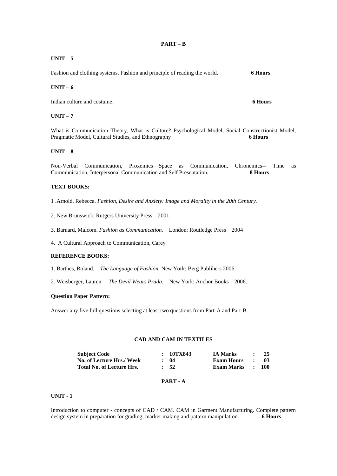# **UNIT – 5**

Fashion and clothing systems, Fashion and principle of reading the world. **6 Hours**

# **UNIT – 6**

Indian culture and costume. **6 Hours**

# $UNIT - 7$

What is Communication Theory, What is Culture? Psychological Model, Social Constructionist Model, Pragmatic Model, Cultural Studies, and Ethnography **6 Hours**

# **UNIT – 8**

Non-Verbal Communication, Proxemics—Space as Communication, Chronemics-- Time as Communication, Interpersonal Communication and Self Presentation. **8 Hours**

# **TEXT BOOKS:**

1 .Arnold, Rebecca. *Fashion, Desire and Anxiety: Image and Morality in the 20th Century.*

2. New Brunswick: Rutgers University Press 2001.

3. Barnard, Malcom. *Fashion as Communication.* London: Routledge Press 2004

4. A Cultural Approach to Communication, Carey

# **REFERENCE BOOKS:**

1. Barthes, Roland. *The Language of Fashion.* New York: Berg Publihers 2006.

2. Weisberger, Lauren. *The Devil Wears Prada.* New York: Anchor Books 2006.

# **Question Paper Pattern:**

Answer any five full questions selecting at least two questions from Part-A and Part-B.

## **CAD AND CAM IN TEXTILES**

| <b>Subject Code</b>              | : 10TX843  | <b>IA Marks</b>  | $\bullet$ $\bullet$ | -25  |
|----------------------------------|------------|------------------|---------------------|------|
| No. of Lecture Hrs./ Week        | $\cdot$ 04 | Exam Hours       | $\sim$ $\sim$       | - 03 |
| <b>Total No. of Lecture Hrs.</b> | $\cdot$ 52 | Exam Marks : 100 |                     |      |

# **PART - A**

# **UNIT - 1**

Introduction to computer - concepts of CAD / CAM. CAM in Garment Manufacturing. Complete pattern design system in preparation for grading, marker making and pattern manipulation. **6 Hours**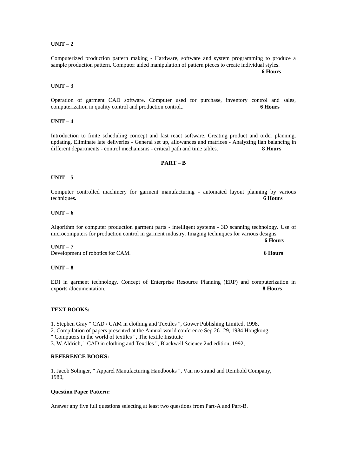# **UNIT – 2**

Computerized production pattern making - Hardware, software and system programming to produce a sample production pattern. Computer aided manipulation of pattern pieces to create individual styles.

 **6 Hours**

## **UNIT – 3**

Operation of garment CAD software. Computer used for purchase, inventory control and sales, computerization in quality control and production control.. **6 Hours**

# **UNIT – 4**

Introduction to finite scheduling concept and fast react software. Creating product and order planning, updating. Eliminate late deliveries - General set up, allowances and matrices - Analyzing lian balancing in different departments - control mechanisms - critical path and time tables. **8 Hours**

## **PART – B**

## **UNIT – 5**

Computer controlled machinery for garment manufacturing - automated layout planning by various techniques**. 6 Hours**

# **UNIT – 6**

Algorithm for computer production garment parts - intelligent systems - 3D scanning technology. Use of microcomputers for production control in garment industry. Imaging techniques for various designs.

#### **6 Hours UNIT – 7**

Development of robotics for CAM. **6 Hours**

#### **UNIT – 8**

EDI in garment technology. Concept of Enterprise Resource Planning (ERP) and computerization in exports /documentation. **8 Hours**

### **TEXT BOOKS:**

- 1. Stephen Gray " CAD / CAM in clothing and Textiles ", Gower Publishing Limited, 1998,
- 2. Compilation of papers presented at the Annual world conference Sep 26 -29, 1984 Hongkong,

" Computers in the world of textiles ", The textile Institute

3. W.Aldrich, " CAD in clothing and Textiles ", Blackwell Science 2nd edition, 1992,

# **REFERENCE BOOKS:**

1. Jacob Solinger, " Apparel Manufacturing Handbooks ", Van no strand and Reinhold Company, 1980,

#### **Question Paper Pattern:**

Answer any five full questions selecting at least two questions from Part-A and Part-B.